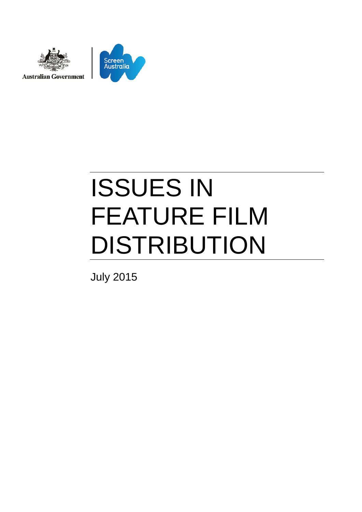

# ISSUES IN FEATURE FILM DISTRIBUTION

July 2015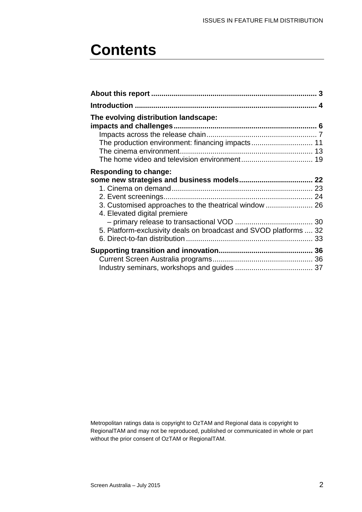## **Contents**

| The evolving distribution landscape:                                                  |  |
|---------------------------------------------------------------------------------------|--|
|                                                                                       |  |
|                                                                                       |  |
|                                                                                       |  |
|                                                                                       |  |
| <b>Responding to change:</b>                                                          |  |
|                                                                                       |  |
|                                                                                       |  |
|                                                                                       |  |
| 3. Customised approaches to the theatrical window  26<br>4. Elevated digital premiere |  |
|                                                                                       |  |
| 5. Platform-exclusivity deals on broadcast and SVOD platforms  32                     |  |
|                                                                                       |  |
|                                                                                       |  |
|                                                                                       |  |
|                                                                                       |  |

Metropolitan ratings data is copyright to OzTAM and Regional data is copyright to RegionalTAM and may not be reproduced, published or communicated in whole or part without the prior consent of OzTAM or RegionalTAM.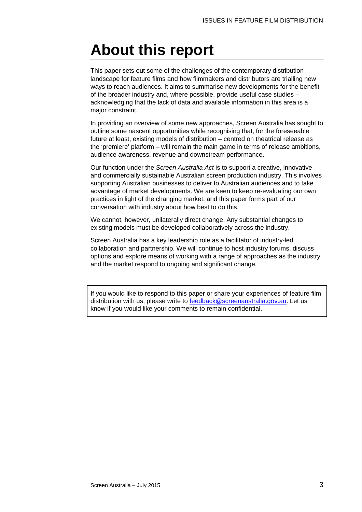## **About this report**

This paper sets out some of the challenges of the contemporary distribution landscape for feature films and how filmmakers and distributors are trialling new ways to reach audiences. It aims to summarise new developments for the benefit of the broader industry and, where possible, provide useful case studies – acknowledging that the lack of data and available information in this area is a major constraint.

In providing an overview of some new approaches, Screen Australia has sought to outline some nascent opportunities while recognising that, for the foreseeable future at least, existing models of distribution – centred on theatrical release as the 'premiere' platform – will remain the main game in terms of release ambitions, audience awareness, revenue and downstream performance.

Our function under the *Screen Australia Act* is to support a creative, innovative and commercially sustainable Australian screen production industry. This involves supporting Australian businesses to deliver to Australian audiences and to take advantage of market developments. We are keen to keep re-evaluating our own practices in light of the changing market, and this paper forms part of our conversation with industry about how best to do this.

We cannot, however, unilaterally direct change. Any substantial changes to existing models must be developed collaboratively across the industry.

Screen Australia has a key leadership role as a facilitator of industry-led collaboration and partnership. We will continue to host industry forums, discuss options and explore means of working with a range of approaches as the industry and the market respond to ongoing and significant change.

If you would like to respond to this paper or share your experiences of feature film distribution with us, please write to **feedback@screenaustralia.gov.au**. Let us know if you would like your comments to remain confidential.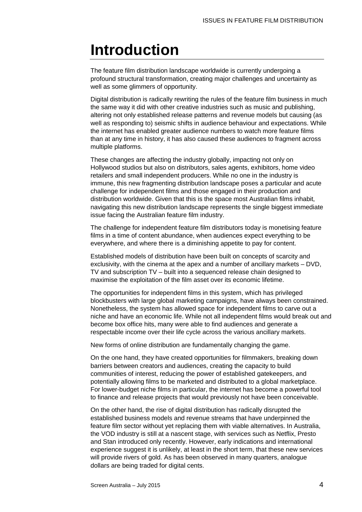## **Introduction**

The feature film distribution landscape worldwide is currently undergoing a profound structural transformation, creating major challenges and uncertainty as well as some glimmers of opportunity.

Digital distribution is radically rewriting the rules of the feature film business in much the same way it did with other creative industries such as music and publishing, altering not only established release patterns and revenue models but causing (as well as responding to) seismic shifts in audience behaviour and expectations. While the internet has enabled greater audience numbers to watch more feature films than at any time in history, it has also caused these audiences to fragment across multiple platforms.

These changes are affecting the industry globally, impacting not only on Hollywood studios but also on distributors, sales agents, exhibitors, home video retailers and small independent producers. While no one in the industry is immune, this new fragmenting distribution landscape poses a particular and acute challenge for independent films and those engaged in their production and distribution worldwide. Given that this is the space most Australian films inhabit, navigating this new distribution landscape represents the single biggest immediate issue facing the Australian feature film industry.

The challenge for independent feature film distributors today is monetising feature films in a time of content abundance, when audiences expect everything to be everywhere, and where there is a diminishing appetite to pay for content.

Established models of distribution have been built on concepts of scarcity and exclusivity, with the cinema at the apex and a number of ancillary markets – DVD, TV and subscription TV – built into a sequenced release chain designed to maximise the exploitation of the film asset over its economic lifetime.

The opportunities for independent films in this system, which has privileged blockbusters with large global marketing campaigns, have always been constrained. Nonetheless, the system has allowed space for independent films to carve out a niche and have an economic life. While not all independent films would break out and become box office hits, many were able to find audiences and generate a respectable income over their life cycle across the various ancillary markets.

New forms of online distribution are fundamentally changing the game.

On the one hand, they have created opportunities for filmmakers, breaking down barriers between creators and audiences, creating the capacity to build communities of interest, reducing the power of established gatekeepers, and potentially allowing films to be marketed and distributed to a global marketplace. For lower-budget niche films in particular, the internet has become a powerful tool to finance and release projects that would previously not have been conceivable.

On the other hand, the rise of digital distribution has radically disrupted the established business models and revenue streams that have underpinned the feature film sector without yet replacing them with viable alternatives. In Australia, the VOD industry is still at a nascent stage, with services such as Netflix, Presto and Stan introduced only recently. However, early indications and international experience suggest it is unlikely, at least in the short term, that these new services will provide rivers of gold. As has been observed in many quarters, analogue dollars are being traded for digital cents.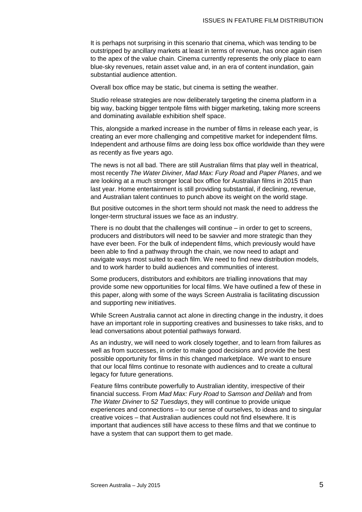It is perhaps not surprising in this scenario that cinema, which was tending to be outstripped by ancillary markets at least in terms of revenue, has once again risen to the apex of the value chain. Cinema currently represents the only place to earn blue-sky revenues, retain asset value and, in an era of content inundation, gain substantial audience attention.

Overall box office may be static, but cinema is setting the weather.

Studio release strategies are now deliberately targeting the cinema platform in a big way, backing bigger tentpole films with bigger marketing, taking more screens and dominating available exhibition shelf space.

This, alongside a marked increase in the number of films in release each year, is creating an ever more challenging and competitive market for independent films. Independent and arthouse films are doing less box office worldwide than they were as recently as five years ago.

The news is not all bad. There are still Australian films that play well in theatrical, most recently *The Water Diviner, Mad Max: Fury Road* and *Paper Planes*, and we are looking at a much stronger local box office for Australian films in 2015 than last year. Home entertainment is still providing substantial, if declining, revenue, and Australian talent continues to punch above its weight on the world stage.

But positive outcomes in the short term should not mask the need to address the longer-term structural issues we face as an industry.

There is no doubt that the challenges will continue – in order to get to screens, producers and distributors will need to be savvier and more strategic than they have ever been. For the bulk of independent films, which previously would have been able to find a pathway through the chain, we now need to adapt and navigate ways most suited to each film. We need to find new distribution models, and to work harder to build audiences and communities of interest.

Some producers, distributors and exhibitors are trialling innovations that may provide some new opportunities for local films. We have outlined a few of these in this paper, along with some of the ways Screen Australia is facilitating discussion and supporting new initiatives.

While Screen Australia cannot act alone in directing change in the industry, it does have an important role in supporting creatives and businesses to take risks, and to lead conversations about potential pathways forward.

As an industry, we will need to work closely together, and to learn from failures as well as from successes, in order to make good decisions and provide the best possible opportunity for films in this changed marketplace. We want to ensure that our local films continue to resonate with audiences and to create a cultural legacy for future generations.

Feature films contribute powerfully to Australian identity, irrespective of their financial success. From *Mad Max: Fury Road* to *Samson and Delilah* and from *The Water Diviner* to *52 Tuesdays*, they will continue to provide unique experiences and connections – to our sense of ourselves, to ideas and to singular creative voices – that Australian audiences could not find elsewhere. It is important that audiences still have access to these films and that we continue to have a system that can support them to get made.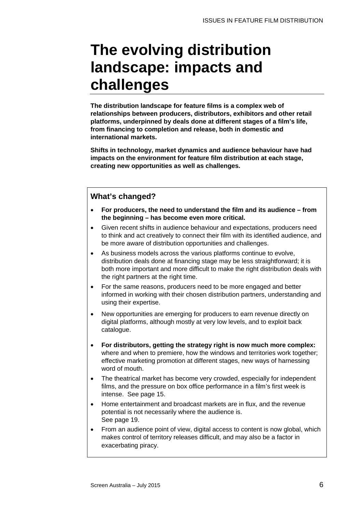## **The evolving distribution landscape: impacts and challenges**

**The distribution landscape for feature films is a complex web of relationships between producers, distributors, exhibitors and other retail platforms, underpinned by deals done at different stages of a film's life, from financing to completion and release, both in domestic and international markets.** 

**Shifts in technology, market dynamics and audience behaviour have had impacts on the environment for feature film distribution at each stage, creating new opportunities as well as challenges.**

### **What's changed?**

- **For producers, the need to understand the film and its audience – from the beginning – has become even more critical.**
- Given recent shifts in audience behaviour and expectations, producers need to think and act creatively to connect their film with its identified audience, and be more aware of distribution opportunities and challenges.
- As business models across the various platforms continue to evolve, distribution deals done at financing stage may be less straightforward; it is both more important and more difficult to make the right distribution deals with the right partners at the right time.
- For the same reasons, producers need to be more engaged and better informed in working with their chosen distribution partners, understanding and using their expertise.
- New opportunities are emerging for producers to earn revenue directly on digital platforms, although mostly at very low levels, and to exploit back catalogue.
- **For distributors, getting the strategy right is now much more complex:**  where and when to premiere, how the windows and territories work together; effective marketing promotion at different stages, new ways of harnessing word of mouth.
- The theatrical market has become very crowded, especially for independent films, and the pressure on box office performance in a film's first week is intense. See page [15.](#page-13-0)
- Home entertainment and broadcast markets are in flux, and the revenue potential is not necessarily where the audience is. See page [19.](#page-18-0)
- From an audience point of view, digital access to content is now global, which makes control of territory releases difficult, and may also be a factor in exacerbating piracy.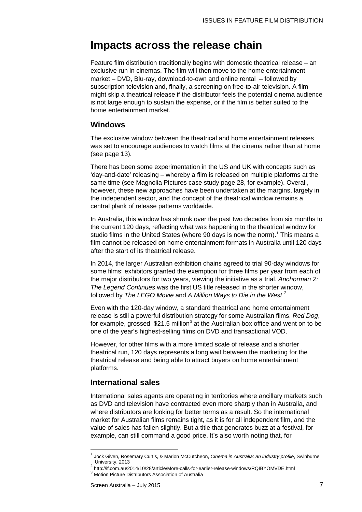### **Impacts across the release chain**

Feature film distribution traditionally begins with domestic theatrical release – an exclusive run in cinemas. The film will then move to the home entertainment market – DVD, Blu-ray, download-to-own and online rental – followed by subscription television and, finally, a screening on free-to-air television. A film might skip a theatrical release if the distributor feels the potential cinema audience is not large enough to sustain the expense, or if the film is better suited to the home entertainment market.

### <span id="page-6-3"></span>**Windows**

The exclusive window between the theatrical and home entertainment releases was set to encourage audiences to watch films at the cinema rather than at home (see page [13\)](#page-12-0).

There has been some experimentation in the US and UK with concepts such as 'day-and-date' releasing – whereby a film is released on multiple platforms at the same time (see Magnolia Pictures case study page [28,](#page-27-0) for example). Overall, however, these new approaches have been undertaken at the margins, largely in the independent sector, and the concept of the theatrical window remains a central plank of release patterns worldwide.

In Australia, this window has shrunk over the past two decades from six months to the current 120 days, reflecting what was happening to the theatrical window for studio films in the United States (where 90 days is now the norm). [1](#page-6-0) This means a film cannot be released on home entertainment formats in Australia until 120 days after the start of its theatrical release.

In 2014, the larger Australian exhibition chains agreed to trial 90-day windows for some films; exhibitors granted the exemption for three films per year from each of the major distributors for two years, viewing the initiative as a trial. *Anchorman 2: The Legend Continues* was the first US title released in the shorter window, followed by *The LEGO Movie* and *A Million Ways to Die in the West* [2](#page-6-1)

Even with the 120-day window, a standard theatrical and home entertainment release is still a powerful distribution strategy for some Australian films. *Red Dog*, for example, grossed  $$21.5$  million<sup>[3](#page-6-2)</sup> at the Australian box office and went on to be one of the year's highest-selling films on DVD and transactional VOD.

However, for other films with a more limited scale of release and a shorter theatrical run, 120 days represents a long wait between the marketing for the theatrical release and being able to attract buyers on home entertainment platforms.

### **International sales**

International sales agents are operating in territories where ancillary markets such as DVD and television have contracted even more sharply than in Australia, and where distributors are looking for better terms as a result. So the international market for Australian films remains tight, as it is for all independent film, and the value of sales has fallen slightly. But a title that generates buzz at a festival, for example, can still command a good price. It's also worth noting that, for

 $\overline{\phantom{a}}$ 

<span id="page-6-0"></span><sup>1</sup> [Jock](http://researchbank.swinburne.edu.au/vital/access/manager/Repository?exact=sm_creator%3A%22Given%2C+Jock%22) Given[, Rosemary](http://researchbank.swinburne.edu.au/vital/access/manager/Repository?exact=sm_creator%3A%22Curtis%2C+Rosemary%22) Curtis, & Mario[n McCutcheon,](http://researchbank.swinburne.edu.au/vital/access/manager/Repository?exact=sm_creator%3A%22McCutcheon%2C+Marion%22) *Cinema in Australia: an industry profile*, Swinburne

<span id="page-6-2"></span><span id="page-6-1"></span> $^2$  <http://if.com.au/2014/10/28/article/More-calls-for-earlier-release-windows/RQIBYOMVDE.html>  $^3$  Motion Picture Distributors Association of Australia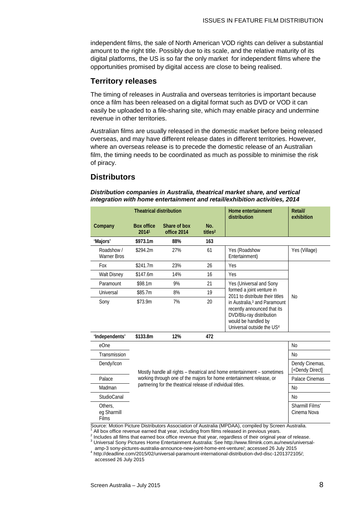independent films, the sale of North American VOD rights can deliver a substantial amount to the right title. Possibly due to its scale, and the relative maturity of its digital platforms, the US is so far the only market for independent films where the opportunities promised by digital access are close to being realised.

### <span id="page-7-0"></span>**Territory releases**

The timing of releases in Australia and overseas territories is important because once a film has been released on a digital format such as DVD or VOD it can easily be uploaded to a file-sharing site, which may enable piracy and undermine revenue in other territories.

Australian films are usually released in the domestic market before being released overseas, and may have different release dates in different territories. However, where an overseas release is to precede the domestic release of an Australian film, the timing needs to be coordinated as much as possible to minimise the risk of piracy.

### <span id="page-7-1"></span>**Distributors**

#### *Distribution companies in Australia, theatrical market share, and vertical integration with home entertainment and retail/exhibition activities, 2014*

| <b>Theatrical distribution</b>                                                                                                         |                                                                          |                                   | Home entertainment<br>distribution | Retail/<br>exhibition                                                                                                                                               |               |  |
|----------------------------------------------------------------------------------------------------------------------------------------|--------------------------------------------------------------------------|-----------------------------------|------------------------------------|---------------------------------------------------------------------------------------------------------------------------------------------------------------------|---------------|--|
| Company                                                                                                                                | <b>Box office</b><br>20141                                               | Share of box<br>office 2014       | No.<br>titles <sup>2</sup>         |                                                                                                                                                                     |               |  |
| 'Majors'                                                                                                                               | \$973.1m                                                                 | 88%                               | 163                                |                                                                                                                                                                     |               |  |
| Roadshow /<br><b>Warner Bros</b>                                                                                                       | \$294.2m                                                                 | 27%                               | 61                                 | Yes (Roadshow<br>Entertainment)                                                                                                                                     | Yes (Village) |  |
| Fox                                                                                                                                    | \$241.7m                                                                 | 23%                               | 26                                 | Yes                                                                                                                                                                 | <b>No</b>     |  |
| <b>Walt Disney</b>                                                                                                                     | \$147.6m                                                                 | 14%                               | 16                                 | <b>Yes</b>                                                                                                                                                          |               |  |
| Paramount                                                                                                                              | \$98.1m                                                                  | 9%                                | 21                                 | Yes (Universal and Sony                                                                                                                                             |               |  |
| Universal                                                                                                                              | \$85.7m                                                                  | 8%                                | 19                                 | formed a joint venture in<br>2011 to distribute their titles                                                                                                        |               |  |
| Sony                                                                                                                                   | \$73.9m                                                                  | 7%                                | 20                                 | in Australia, <sup>3</sup> and Paramount<br>recently announced that its<br>DVD/Blu-ray distribution<br>would be handled by<br>Universal outside the US <sup>4</sup> |               |  |
| 'Independents'                                                                                                                         | \$133.8m                                                                 | 12%                               | 472                                |                                                                                                                                                                     |               |  |
| eOne                                                                                                                                   |                                                                          |                                   |                                    |                                                                                                                                                                     | <b>No</b>     |  |
| Transmission                                                                                                                           |                                                                          | N <sub>0</sub>                    |                                    |                                                                                                                                                                     |               |  |
| Dendy/Icon                                                                                                                             | Mostly handle all rights - theatrical and home entertainment - sometimes | Dendy Cinemas,<br>[+Dendy Direct] |                                    |                                                                                                                                                                     |               |  |
| Palace                                                                                                                                 | working through one of the majors for home entertainment release, or     | Palace Cinemas                    |                                    |                                                                                                                                                                     |               |  |
| Madman                                                                                                                                 | partnering for the theatrical release of individual titles.              | <b>No</b>                         |                                    |                                                                                                                                                                     |               |  |
| StudioCanal                                                                                                                            |                                                                          | <b>No</b>                         |                                    |                                                                                                                                                                     |               |  |
| Others,<br>eg Sharmill<br>Films<br>Source: Motion Picture Distributors Association of Australia (MPDAA), compiled by Screen Australia. |                                                                          | Sharmill Films'<br>Cinema Nova    |                                    |                                                                                                                                                                     |               |  |

Source: Motion Picture Distributors Association of Australia (MPDAA), compiled by Screen Australia. <sup>1</sup> All box office revenue earned that year, including from films released in previous years.

2 Includes all films that earned box office revenue that year, regardless of their original year of release. 3 Universal Sony Pictures Home Entertainment Australia: See http://www.filmink.com.au/news/universal-<br>amp-3 sony-pictures-australia-announce-new-joint-home-ent-venture/; accessed 26 July 2015

amp-3 sony-pictures-australia-announce-new-joint-home-ent-venture/; accessed 26 July 2015 <sup>4</sup> http://deadline.com/2015/02/universal-paramount-international-distribution-dvd-disc-1201372105/; accessed 26 July 2015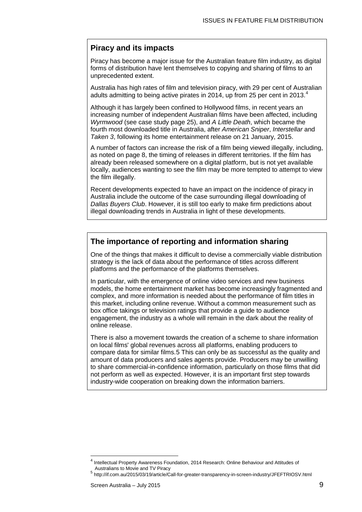### **Piracy and its impacts**

Piracy has become a major issue for the Australian feature film industry, as digital forms of distribution have lent themselves to copying and sharing of films to an unprecedented extent.

Australia has high rates of film and television piracy, with 29 per cent of Australian adults admitting to being active pirates in 201[4](#page-8-0), up from 25 per cent in 2013. $^{\rm 4}$ 

Although it has largely been confined to Hollywood films, in recent years an increasing number of independent Australian films have been affected, including *Wyrmwood* (see case study page [25\)](#page-24-0), and *A Little Death*, which became the fourth most downloaded title in Australia, after *American Sniper*, *Interstellar* and *Taken 3*, following its home entertainment release on 21 January, 2015.

A number of factors can increase the risk of a film being viewed illegally, including, as noted on page [8,](#page-7-0) the timing of releases in different territories. If the film has already been released somewhere on a digital platform, but is not yet available locally, audiences wanting to see the film may be more tempted to attempt to view the film illegally.

Recent developments expected to have an impact on the incidence of piracy in Australia include the outcome of the case surrounding illegal downloading of *Dallas Buyers Club*. However, it is still too early to make firm predictions about illegal downloading trends in Australia in light of these developments.

### **The importance of reporting and information sharing**

One of the things that makes it difficult to devise a commercially viable distribution strategy is the lack of data about the performance of titles across different platforms and the performance of the platforms themselves.

In particular, with the emergence of online video services and new business models, the home entertainment market has become increasingly fragmented and complex, and more information is needed about the performance of film titles in this market, including online revenue. Without a common measurement such as box office takings or television ratings that provide a guide to audience engagement, the industry as a whole will remain in the dark about the reality of online release.

There is also a movement towards the creation of a scheme to share information on local films' global revenues across all platforms, enabling producers to compare data for similar films[.5](#page-8-1) This can only be as successful as the quality and amount of data producers and sales agents provide. Producers may be unwilling to share commercial-in-confidence information, particularly on those films that did not perform as well as expected. However, it is an important first step towards industry-wide cooperation on breaking down the information barriers.

 $\overline{\phantom{a}}$ 

<span id="page-8-0"></span>Intellectual Property Awareness Foundation, 2014 Research: Online Behaviour and Attitudes of Australians to Movie and TV Piracy

<span id="page-8-1"></span> $^5$  http://if.com.au/2015/03/19/article/Call-for-greater-transparency-in-screen-industry/JFEFTRIOSV.html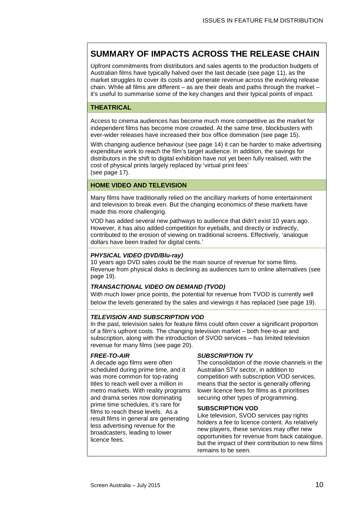### **SUMMARY OF IMPACTS ACROSS THE RELEASE CHAIN**

Upfront commitments from distributors and sales agents to the production budgets of Australian films have typically halved over the last decade (see page [11\)](#page-10-0), as the market struggles to cover its costs and generate revenue across the evolving release chain. While all films are different – as are their deals and paths through the market – it's useful to summarise some of the key changes and their typical points of impact.

### **THEATRICAL**

Access to cinema audiences has become much more competitive as the market for independent films has become more crowded. At the same time, blockbusters with ever-wider releases have increased their box office domination (see page [15\)](#page-14-0).

With changing audience behaviour (see page [14\)](#page-13-1) it can be harder to make advertising expenditure work to reach the film's target audience. In addition, the savings for distributors in the shift to digital exhibition have not yet been fully realised, with the cost of physical prints largely replaced by 'virtual print fees' (see page [17\)](#page-16-0).

#### **HOME VIDEO AND TELEVISION**

Many films have traditionally relied on the ancillary markets of home entertainment and television to break even. But the changing economics of these markets have made this more challenging.

VOD has added several new pathways to audience that didn't exist 10 years ago. However, it has also added competition for eyeballs, and directly or indirectly, contributed to the erosion of viewing on traditional screens. Effectively, 'analogue dollars have been traded for digital cents.'

#### *PHYSICAL VIDEO (DVD/Blu-ray)*

10 years ago DVD sales could be the main source of revenue for some films. Revenue from physical disks is declining as audiences turn to online alternatives (see page [19\)](#page-18-0).

### *TRANSACTIONAL VIDEO ON DEMAND (TVOD)*

With much lower price points, the potential for revenue from TVOD is currently well below the levels generated by the sales and viewings it has replaced (see page [19\)](#page-18-0).

#### *TELEVISION AND SUBSCRIPTION VOD*

In the past, television sales for feature films could often cover a significant proportion of a film's upfront costs. The changing television market – both free-to-air and subscription, along with the introduction of SVOD services – has limited television revenue for many films (see page [20\)](#page-19-0).

#### *FREE-TO-AIR*

A decade ago films were often scheduled during prime time, and it was more common for top-rating titles to reach well over a million in metro markets. With reality programs and drama series now dominating prime time schedules, it's rare for films to reach these levels. As a result films in general are generating less advertising revenue for the broadcasters, leading to lower licence fees.

### *SUBSCRIPTION TV*

The consolidation of the movie channels in the Australian STV sector, in addition to competition with subscription VOD services, means that the sector is generally offering lower licence fees for films as it prioritises securing other types of programming.

#### **SUBSCRIPTION VOD**

Like television, SVOD services pay rights holders a fee to licence content. As relatively new players, these services may offer new opportunities for revenue from back catalogue, but the impact of their contribution to new films remains to be seen.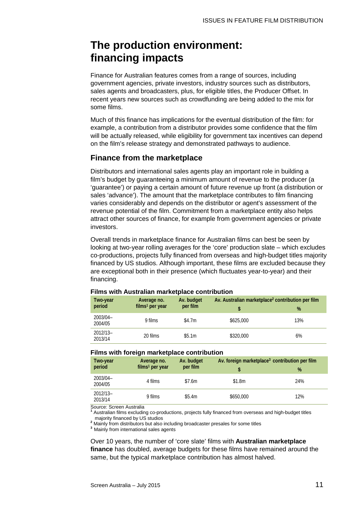### **The production environment: financing impacts**

Finance for Australian features comes from a range of sources, including government agencies, private investors, industry sources such as distributors, sales agents and broadcasters, plus, for eligible titles, the Producer Offset. In recent years new sources such as crowdfunding are being added to the mix for some films.

Much of this finance has implications for the eventual distribution of the film: for example, a contribution from a distributor provides some confidence that the film will be actually released, while eligibility for government tax incentives can depend on the film's release strategy and demonstrated pathways to audience.

### <span id="page-10-0"></span>**Finance from the marketplace**

Distributors and international sales agents play an important role in building a film's budget by guaranteeing a minimum amount of revenue to the producer (a 'guarantee') or paying a certain amount of future revenue up front (a distribution or sales 'advance'). The amount that the marketplace contributes to film financing varies considerably and depends on the distributor or agent's assessment of the revenue potential of the film. Commitment from a marketplace entity also helps attract other sources of finance, for example from government agencies or private investors.

Overall trends in marketplace finance for Australian films can best be seen by looking at two-year rolling averages for the 'core' production slate – which excludes co-productions, projects fully financed from overseas and high-budget titles majority financed by US studios. Although important, these films are excluded because they are exceptional both in their presence (which fluctuates year-to-year) and their financing.

| Two-year              | Average no.<br>$films1$ per year | Av. budget<br>per film | Av. Australian marketplace <sup>2</sup> contribution per film |     |  |
|-----------------------|----------------------------------|------------------------|---------------------------------------------------------------|-----|--|
| period                |                                  |                        |                                                               | %   |  |
| 2003/04-<br>2004/05   | 9 films                          | \$4.7m                 | \$625,000                                                     | 13% |  |
| $2012/13-$<br>2013/14 | 20 films                         | \$5.1m                 | \$320,000                                                     | 6%  |  |

#### **Films with Australian marketplace contribution**

#### **Films with foreign marketplace contribution**

| Two-year              | Average no.<br>$films1$ per year | Av. budget<br>per film | Av. foreign marketplace <sup>3</sup> contribution per film |     |  |
|-----------------------|----------------------------------|------------------------|------------------------------------------------------------|-----|--|
| period                |                                  |                        |                                                            | %   |  |
| 2003/04-<br>2004/05   | 4 films                          | \$7.6m                 | \$1.8m                                                     | 24% |  |
| $2012/13-$<br>2013/14 | 9 films                          | \$5.4m                 | \$650,000                                                  | 12% |  |

Source: Screen Australia

**<sup>1</sup>** Australian films excluding co-productions, projects fully financed from overseas and high-budget titles

majority financed by US studios **<sup>2</sup>** Mainly from distributors but also including broadcaster presales for some titles

**<sup>3</sup>**Mainly from international sales agents

Over 10 years, the number of 'core slate' films with **Australian marketplace finance** has doubled, average budgets for these films have remained around the same, but the typical marketplace contribution has almost halved.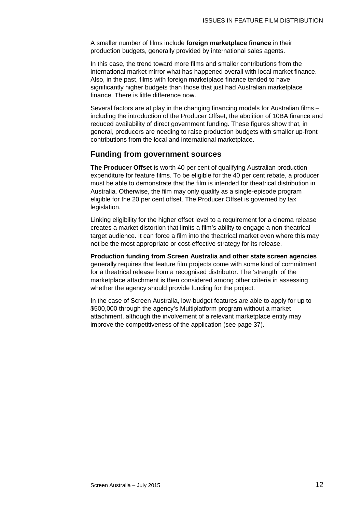A smaller number of films include **foreign marketplace finance** in their production budgets, generally provided by international sales agents.

In this case, the trend toward more films and smaller contributions from the international market mirror what has happened overall with local market finance. Also, in the past, films with foreign marketplace finance tended to have significantly higher budgets than those that just had Australian marketplace finance. There is little difference now.

Several factors are at play in the changing financing models for Australian films – including the introduction of the Producer Offset, the abolition of 10BA finance and reduced availability of direct government funding. These figures show that, in general, producers are needing to raise production budgets with smaller up-front contributions from the local and international marketplace.

### **Funding from government sources**

**The Producer Offset** is worth 40 per cent of qualifying Australian production expenditure for feature films. To be eligible for the 40 per cent rebate, a producer must be able to demonstrate that the film is intended for theatrical distribution in Australia. Otherwise, the film may only qualify as a single-episode program eligible for the 20 per cent offset. The Producer Offset is governed by tax legislation.

Linking eligibility for the higher offset level to a requirement for a cinema release creates a market distortion that limits a film's ability to engage a non-theatrical target audience. It can force a film into the theatrical market even where this may not be the most appropriate or cost-effective strategy for its release.

**Production funding from Screen Australia and other state screen agencies** generally requires that feature film projects come with some kind of commitment for a theatrical release from a recognised distributor. The 'strength' of the marketplace attachment is then considered among other criteria in assessing whether the agency should provide funding for the project.

In the case of Screen Australia, low-budget features are able to apply for up to \$500,000 through the agency's Multiplatform program without a market attachment, although the involvement of a relevant marketplace entity may improve the competitiveness of the application (see page [37\)](#page-36-0).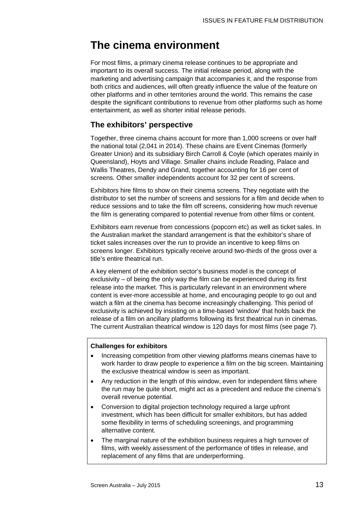### **The cinema environment**

For most films, a primary cinema release continues to be appropriate and important to its overall success. The initial release period, along with the marketing and advertising campaign that accompanies it, and the response from both critics and audiences, will often greatly influence the value of the feature on other platforms and in other territories around the world. This remains the case despite the significant contributions to revenue from other platforms such as home entertainment, as well as shorter initial release periods.

### <span id="page-12-0"></span>**The exhibitors' perspective**

Together, three cinema chains account for more than 1,000 screens or over half the national total (2,041 in 2014). These chains are Event Cinemas (formerly Greater Union) and its subsidiary Birch Carroll & Coyle (which operates mainly in Queensland), Hoyts and Village. Smaller chains include Reading, Palace and Wallis Theatres, Dendy and Grand, together accounting for 16 per cent of screens. Other smaller independents account for 32 per cent of screens.

Exhibitors hire films to show on their cinema screens. They negotiate with the distributor to set the number of screens and sessions for a film and decide when to reduce sessions and to take the film off screens, considering how much revenue the film is generating compared to potential revenue from other films or content.

Exhibitors earn revenue from concessions (popcorn etc) as well as ticket sales. In the Australian market the standard arrangement is that the exhibitor's share of ticket sales increases over the run to provide an incentive to keep films on screens longer. Exhibitors typically receive around two-thirds of the gross over a title's entire theatrical run.

A key element of the exhibition sector's business model is the concept of exclusivity – of being the only way the film can be experienced during its first release into the market. This is particularly relevant in an environment where content is ever-more accessible at home, and encouraging people to go out and watch a film at the cinema has become increasingly challenging. This period of exclusivity is achieved by insisting on a time-based 'window' that holds back the release of a film on ancillary platforms following its first theatrical run in cinemas. The current Australian theatrical window is 120 days for most films (see page [7\)](#page-6-3).

### **Challenges for exhibitors**

- Increasing competition from other viewing platforms means cinemas have to work harder to draw people to experience a film on the big screen. Maintaining the exclusive theatrical window is seen as important.
- Any reduction in the length of this window, even for independent films where the run may be quite short, might act as a precedent and reduce the cinema's overall revenue potential.
- Conversion to digital projection technology required a large upfront investment, which has been difficult for smaller exhibitors, but has added some flexibility in terms of scheduling screenings, and programming alternative content.
- The marginal nature of the exhibition business requires a high turnover of films, with weekly assessment of the performance of titles in release, and replacement of any films that are underperforming.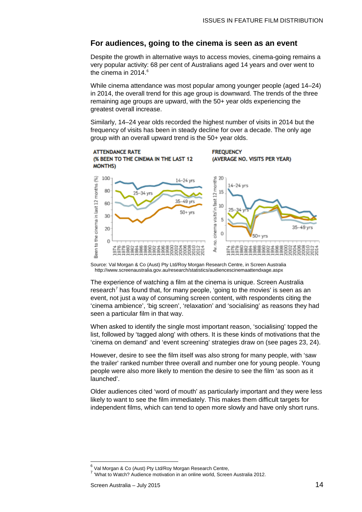### <span id="page-13-1"></span>**For audiences, going to the cinema is seen as an event**

Despite the growth in alternative ways to access movies, cinema-going remains a very popular activity: 68 per cent of Australians aged 14 years and over went to the cinema in 2014. [6](#page-13-2)

While cinema attendance was most popular among younger people (aged 14–24) in 2014, the overall trend for this age group is downward. The trends of the three remaining age groups are upward, with the 50+ year olds experiencing the greatest overall increase.

Similarly, 14–24 year olds recorded the highest number of visits in 2014 but the frequency of visits has been in steady decline for over a decade. The only age group with an overall upward trend is the 50+ year olds.



Source: Val Morgan & Co (Aust) Pty Ltd/Roy Morgan Research Centre, in Screen Australia http://www.screenaustralia.gov.au/research/statistics/audiencescinemaattendxage.aspx

The experience of watching a film at the cinema is unique. Screen Australia research<sup>[7](#page-13-3)</sup> has found that, for many people, 'going to the movies' is seen as an event, not just a way of consuming screen content, with respondents citing the 'cinema ambience', 'big screen', 'relaxation' and 'socialising' as reasons they had seen a particular film in that way.

When asked to identify the single most important reason, 'socialising' topped the list, followed by 'tagged along' with others. It is these kinds of motivations that the 'cinema on demand' and 'event screening' strategies draw on (see pages [23,](#page-22-0) [24\)](#page-23-0).

However, desire to see the film itself was also strong for many people, with 'saw the trailer' ranked number three overall and number one for young people. Young people were also more likely to mention the desire to see the film 'as soon as it launched'.

<span id="page-13-0"></span>Older audiences cited 'word of mouth' as particularly important and they were less likely to want to see the film immediately. This makes them difficult targets for independent films, which can tend to open more slowly and have only short runs.

 $\overline{a}$ 

 $\frac{6}{ }$  Val Morgan & Co (Aust) Pty Ltd/Roy Morgan Research Centre,

<span id="page-13-3"></span><span id="page-13-2"></span><sup>7</sup> 'What to Watch? Audience motivation in an online world, Screen Australia 2012.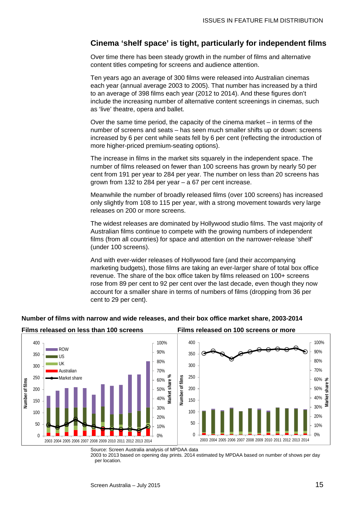### <span id="page-14-0"></span>**Cinema 'shelf space' is tight, particularly for independent films**

Over time there has been steady growth in the number of films and alternative content titles competing for screens and audience attention.

Ten years ago an average of 300 films were released into Australian cinemas each year (annual average 2003 to 2005). That number has increased by a third to an average of 398 films each year (2012 to 2014). And these figures don't include the increasing number of alternative content screenings in cinemas, such as 'live' theatre, opera and ballet.

Over the same time period, the capacity of the cinema market – in terms of the number of screens and seats – has seen much smaller shifts up or down: screens increased by 6 per cent while seats fell by 6 per cent (reflecting the introduction of more higher-priced premium-seating options).

The increase in films in the market sits squarely in the independent space. The number of films released on fewer than 100 screens has grown by nearly 50 per cent from 191 per year to 284 per year. The number on less than 20 screens has grown from 132 to 284 per year – a 67 per cent increase.

Meanwhile the number of broadly released films (over 100 screens) has increased only slightly from 108 to 115 per year, with a strong movement towards very large releases on 200 or more screens.

The widest releases are dominated by Hollywood studio films. The vast majority of Australian films continue to compete with the growing numbers of independent films (from all countries) for space and attention on the narrower-release 'shelf' (under 100 screens).

And with ever-wider releases of Hollywood fare (and their accompanying marketing budgets), those films are taking an ever-larger share of total box office revenue. The share of the box office taken by films released on 100+ screens rose from 89 per cent to 92 per cent over the last decade, even though they now account for a smaller share in terms of numbers of films (dropping from 36 per cent to 29 per cent).



### **Number of films with narrow and wide releases, and their box office market share, 2003-2014**

Source: Screen Australia analysis of MPDAA data

2003 to 2013 based on opening day prints. 2014 estimated by MPDAA based on number of shows per day per location.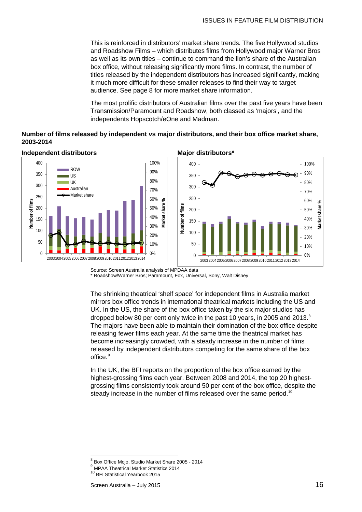This is reinforced in distributors' market share trends. The five Hollywood studios and Roadshow Films – which distributes films from Hollywood major Warner Bros as well as its own titles – continue to command the lion's share of the Australian box office, without releasing significantly more films. In contrast, the number of titles released by the independent distributors has increased significantly, making it much more difficult for these smaller releases to find their way to target audience. See page [8](#page-7-1) for more market share information.

The most prolific distributors of Australian films over the past five years have been Transmission/Paramount and Roadshow, both classed as 'majors', and the independents Hopscotch/eOne and Madman.

### **Number of films released by independent vs major distributors, and their box office market share, 2003-2014**



**Independent distributors Major distributors\***

Source: Screen Australia analysis of MPDAA data \* Roadshow/Warner Bros; Paramount, Fox, Universal, Sony, Walt Disney

The shrinking theatrical 'shelf space' for independent films in Australia market mirrors box office trends in international theatrical markets including the US and UK. In the US, the share of the box office taken by the six major studios has dropped below [8](#page-15-0)0 per cent only twice in the past 10 years, in 2005 and 2013.<sup>8</sup> The majors have been able to maintain their domination of the box office despite releasing fewer films each year. At the same time the theatrical market has become increasingly crowded, with a steady increase in the number of films released by independent distributors competing for the same share of the box office.<sup>[9](#page-15-1)</sup>

In the UK, the BFI reports on the proportion of the box office earned by the highest-grossing films each year. Between 2008 and 2014, the top 20 highestgrossing films consistently took around 50 per cent of the box office, despite the steady increase in the number of films released over the same period.<sup>[10](#page-15-2)</sup>

<span id="page-15-0"></span> $^8$  Box Office Mojo, Studio Market Share 2005 - 2014<br> $^9$  MPAA Theatrical Market Statistics 2014  $\overline{a}$ 

<span id="page-15-1"></span><sup>&</sup>lt;sup>9</sup> MPAA Theatrical Market Statistics 2014<br><sup>10</sup> BFI Statistical Yearbook 2015

<span id="page-15-2"></span>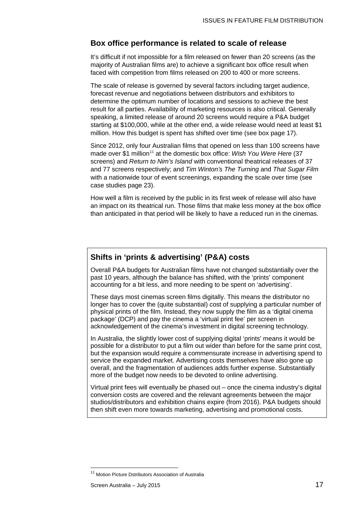### <span id="page-16-0"></span>**Box office performance is related to scale of release**

It's difficult if not impossible for a film released on fewer than 20 screens (as the majority of Australian films are) to achieve a significant box office result when faced with competition from films released on 200 to 400 or more screens.

The scale of release is governed by several factors including target audience, forecast revenue and negotiations between distributors and exhibitors to determine the optimum number of locations and sessions to achieve the best result for all parties. Availability of marketing resources is also critical. Generally speaking, a limited release of around 20 screens would require a P&A budget starting at \$100,000, while at the other end, a wide release would need at least \$1 million. How this budget is spent has shifted over time (see box page [17\)](#page-16-0).

Since 2012, only four Australian films that opened on less than 100 screens have made over \$1 million<sup>[11](#page-16-1)</sup> at the domestic box office: *Wish You Were Here* (37 screens) and *Return to Nim's Island* with conventional theatrical releases of 37 and 77 screens respectively; and *Tim Winton's The Turning* and *That Sugar Film* with a nationwide tour of event screenings, expanding the scale over time (see case studies page [23\)](#page-22-1).

How well a film is received by the public in its first week of release will also have an impact on its theatrical run. Those films that make less money at the box office than anticipated in that period will be likely to have a reduced run in the cinemas.

### **Shifts in 'prints & advertising' (P&A) costs**

Overall P&A budgets for Australian films have not changed substantially over the past 10 years, although the balance has shifted, with the 'prints' component accounting for a bit less, and more needing to be spent on 'advertising'.

These days most cinemas screen films digitally. This means the distributor no longer has to cover the (quite substantial) cost of supplying a particular number of physical prints of the film. Instead, they now supply the film as a 'digital cinema package' (DCP) and pay the cinema a 'virtual print fee' per screen in acknowledgement of the cinema's investment in digital screening technology.

In Australia, the slightly lower cost of supplying digital 'prints' means it would be possible for a distributor to put a film out wider than before for the same print cost, but the expansion would require a commensurate increase in advertising spend to service the expanded market. Advertising costs themselves have also gone up overall, and the fragmentation of audiences adds further expense. Substantially more of the budget now needs to be devoted to online advertising.

Virtual print fees will eventually be phased out – once the cinema industry's digital conversion costs are covered and the relevant agreements between the major studios/distributors and exhibition chains expire (from 2016). P&A budgets should then shift even more towards marketing, advertising and promotional costs.

 $\overline{\phantom{a}}$ 

<span id="page-16-1"></span><sup>&</sup>lt;sup>11</sup> Motion Picture Dstributors Association of Australia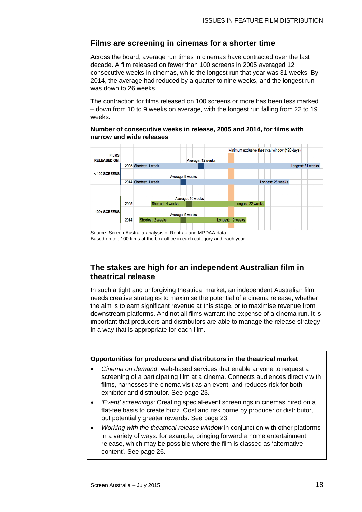### **Films are screening in cinemas for a shorter time**

Across the board, average run times in cinemas have contracted over the last decade. A film released on fewer than 100 screens in 2005 averaged 12 consecutive weeks in cinemas, while the longest run that year was 31 weeks By 2014, the average had reduced by a quarter to nine weeks, and the longest run was down to 26 weeks.

The contraction for films released on 100 screens or more has been less marked – down from 10 to 9 weeks on average, with the longest run falling from 22 to 19 weeks.

#### **Number of consecutive weeks in release, 2005 and 2014, for films with narrow and wide releases**



Source: Screen Australia analysis of Rentrak and MPDAA data. Based on top 100 films at the box office in each category and each year.

### **The stakes are high for an independent Australian film in theatrical release**

In such a tight and unforgiving theatrical market, an independent Australian film needs creative strategies to maximise the potential of a cinema release, whether the aim is to earn significant revenue at this stage, or to maximise revenue from downstream platforms. And not all films warrant the expense of a cinema run. It is important that producers and distributors are able to manage the release strategy in a way that is appropriate for each film.

### **Opportunities for producers and distributors in the theatrical market**

- *Cinema on demand*: web-based services that enable anyone to request a screening of a participating film at a cinema. Connects audiences directly with films, harnesses the cinema visit as an event, and reduces risk for both exhibitor and distributor. See page [23.](#page-22-0)
- *'Event' screenings*: Creating special-event screenings in cinemas hired on a flat-fee basis to create buzz. Cost and risk borne by producer or distributor, but potentially greater rewards. See page [23.](#page-22-0)
- *Working with the theatrical release window* in conjunction with other platforms in a variety of ways: for example, bringing forward a home entertainment release, which may be possible where the film is classed as 'alternative content'. See page [26.](#page-24-1)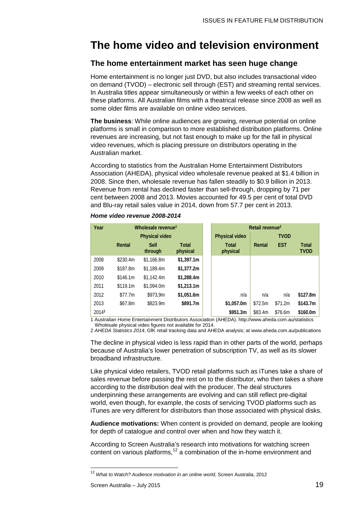### **The home video and television environment**

### <span id="page-18-0"></span>**The home entertainment market has seen huge change**

Home entertainment is no longer just DVD, but also includes transactional video on demand (TVOD) – electronic sell through (EST) and streaming rental services. In Australia titles appear simultaneously or within a few weeks of each other on these platforms. All Australian films with a theatrical release since 2008 as well as some older films are available on online video services.

**The business**: While online audiences are growing, revenue potential on online platforms is small in comparison to more established distribution platforms. Online revenues are increasing, but not fast enough to make up for the fall in physical video revenues, which is placing pressure on distributors operating in the Australian market.

According to statistics from the Australian Home Entertainment Distributors Association (AHEDA), physical video wholesale revenue peaked at \$1.4 billion in 2008. Since then, wholesale revenue has fallen steadily to \$0.9 billion in 2013. Revenue from rental has declined faster than sell-through, dropping by 71 per cent between 2008 and 2013. Movies accounted for 49.5 per cent of total DVD and Blu-ray retail sales value in 2014, down from 57.7 per cent in 2013.

| Year                  | Wholesale revenue <sup>1</sup> |                        |                          | Retail revenue <sup>2</sup> |             |            |                             |
|-----------------------|--------------------------------|------------------------|--------------------------|-----------------------------|-------------|------------|-----------------------------|
| <b>Physical video</b> |                                |                        | <b>Physical video</b>    |                             | <b>TVOD</b> |            |                             |
|                       | Rental                         | <b>Sell</b><br>through | <b>Total</b><br>physical | <b>Total</b><br>physical    | Rental      | <b>EST</b> | <b>Total</b><br><b>TVOD</b> |
| 2008                  | \$230.4m                       | \$1.166.8m             | \$1,397.1m               |                             |             |            |                             |
| 2009                  | \$187.8m                       | \$1.189.4m             | \$1,377.2m               |                             |             |            |                             |
| 2010                  | \$146.1m                       | \$1.142.4m             | \$1,288.4m               |                             |             |            |                             |
| 2011                  | \$119.1m                       | \$1,094.0m             | \$1,213.1m               |                             |             |            |                             |
| 2012                  | \$77.7m                        | \$973.9m               | \$1,051.6m               | n/a                         | n/a         | n/a        | \$127.8m                    |
| 2013                  | \$67.8m                        | \$823.9m               | \$891.7m                 | \$1,057.0m                  | \$72.5m     | \$71.2m    | \$143.7m                    |
| 20141                 | _                              | .                      |                          | \$951.3m                    | \$83.4m     | \$76.6m    | \$160.0m                    |

### *Home video revenue 2008-2014*

1 Australian Home Entertainment Distributors Association (AHEDA). http://www.aheda.com.au/statistics Wholesale physical video figures not available for 2014.

2 *AHEDA Statistics 2014*, GfK retail tracking data and AHEDA analysis; at www.aheda.com.au/publications

The decline in physical video is less rapid than in other parts of the world, perhaps because of Australia's lower penetration of subscription TV, as well as its slower broadband infrastructure.

Like physical video retailers, TVOD retail platforms such as iTunes take a share of sales revenue before passing the rest on to the distributor, who then takes a share according to the distribution deal with the producer. The deal structures underpinning these arrangements are evolving and can still reflect pre-digital world, even though, for example, the costs of servicing TVOD platforms such as iTunes are very different for distributors than those associated with physical disks.

**Audience motivations:** When content is provided on demand, people are looking for depth of catalogue and control over when and how they watch it.

According to Screen Australia's research into motivations for watching screen content on various platforms,<sup>[12](#page-18-1)</sup> a combination of the in-home environment and

 $\overline{\phantom{a}}$ 

<span id="page-18-1"></span><sup>12</sup> *What to Watch? Audience motivation in an online world*, Screen Australia, 2012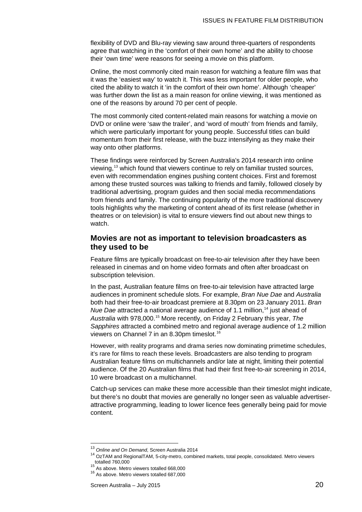flexibility of DVD and Blu-ray viewing saw around three-quarters of respondents agree that watching in the 'comfort of their own home' and the ability to choose their 'own time' were reasons for seeing a movie on this platform.

Online, the most commonly cited main reason for watching a feature film was that it was the 'easiest way' to watch it. This was less important for older people, who cited the ability to watch it 'in the comfort of their own home'. Although 'cheaper' was further down the list as a main reason for online viewing, it was mentioned as one of the reasons by around 70 per cent of people.

The most commonly cited content-related main reasons for watching a movie on DVD or online were 'saw the trailer', and 'word of mouth' from friends and family, which were particularly important for young people. Successful titles can build momentum from their first release, with the buzz intensifying as they make their way onto other platforms.

These findings were reinforced by Screen Australia's 2014 research into online viewing,<sup>[13](#page-19-1)</sup> which found that viewers continue to rely on familiar trusted sources, even with recommendation engines pushing content choices. First and foremost among these trusted sources was talking to friends and family, followed closely by traditional advertising, program guides and then social media recommendations from friends and family. The continuing popularity of the more traditional discovery tools highlights why the marketing of content ahead of its first release (whether in theatres or on television) is vital to ensure viewers find out about new things to watch.

### <span id="page-19-0"></span>**Movies are not as important to television broadcasters as they used to be**

Feature films are typically broadcast on free-to-air television after they have been released in cinemas and on home video formats and often after broadcast on subscription television.

In the past, Australian feature films on free-to-air television have attracted large audiences in prominent schedule slots. For example, *Bran Nue Dae* and *Australia* both had their free-to-air broadcast premiere at 8.30pm on 23 January 2011. *Bran Nue Dae* attracted a national average audience of 1.1 million,<sup>[14](#page-19-2)</sup> just ahead of *Australia* with 978,000.[15](#page-19-3) More recently, on Friday 2 February this year, *The Sapphires* attracted a combined metro and regional average audience of 1.2 million viewers on Channel 7 in an 8.30pm timeslot. [16](#page-19-4)

However, with reality programs and drama series now dominating primetime schedules, it's rare for films to reach these levels. Broadcasters are also tending to program Australian feature films on multichannels and/or late at night, limiting their potential audience. Of the 20 Australian films that had their first free-to-air screening in 2014, 10 were broadcast on a multichannel.

Catch-up services can make these more accessible than their timeslot might indicate, but there's no doubt that movies are generally no longer seen as valuable advertiserattractive programming, leading to lower licence fees generally being paid for movie content.

<sup>&</sup>lt;sup>13</sup> Online and On Demand, Screen Australia 2014

<span id="page-19-4"></span><span id="page-19-3"></span><span id="page-19-2"></span><span id="page-19-1"></span><sup>14</sup> OzTAM and RegionalTAM, 5-city-metro, combined markets, total people, consolidated. Metro viewers<br>totalled 760,000

<sup>&</sup>lt;sup>15</sup> As above. Metro viewers totalled 668,000  $16$  As above. Metro viewers totalled 687,000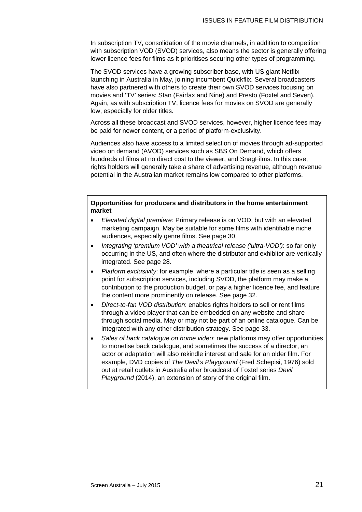In subscription TV, consolidation of the movie channels, in addition to competition with subscription VOD (SVOD) services, also means the sector is generally offering lower licence fees for films as it prioritises securing other types of programming.

The SVOD services have a growing subscriber base, with US giant Netflix launching in Australia in May, joining incumbent Quickflix. Several broadcasters have also partnered with others to create their own SVOD services focusing on movies and 'TV' series: Stan (Fairfax and Nine) and Presto (Foxtel and Seven). Again, as with subscription TV, licence fees for movies on SVOD are generally low, especially for older titles.

Across all these broadcast and SVOD services, however, higher licence fees may be paid for newer content, or a period of platform-exclusivity.

Audiences also have access to a limited selection of movies through ad-supported video on demand (AVOD) services such as SBS On Demand, which offers hundreds of films at no direct cost to the viewer, and SnagFilms. In this case, rights holders will generally take a share of advertising revenue, although revenue potential in the Australian market remains low compared to other platforms.

### **Opportunities for producers and distributors in the home entertainment market**

- *Elevated digital premiere*: Primary release is on VOD, but with an elevated marketing campaign. May be suitable for some films with identifiable niche audiences, especially genre films. See page [30.](#page-29-0)
- *Integrating 'premium VOD' with a theatrical release ('ultra-VOD')*: so far only occurring in the US, and often where the distributor and exhibitor are vertically integrated. See page [28.](#page-27-0)
- *Platform exclusivity*: for example, where a particular title is seen as a selling point for subscription services, including SVOD, the platform may make a contribution to the production budget, or pay a higher licence fee, and feature the content more prominently on release. See page [32.](#page-31-0)
- *Direct-to-fan VOD distribution*: enables rights holders to sell or rent films through a video player that can be embedded on any website and share through social media. May or may not be part of an online catalogue. Can be integrated with any other distribution strategy. See page [33.](#page-32-0)
- *Sales of back catalogue on home video*: new platforms may offer opportunities to monetise back catalogue, and sometimes the success of a director, an actor or adaptation will also rekindle interest and sale for an older film. For example, DVD copies of *The Devil's Playground* (Fred Schepisi, 1976) sold out at retail outlets in Australia after broadcast of Foxtel series *Devil Playground* (2014), an extension of story of the original film.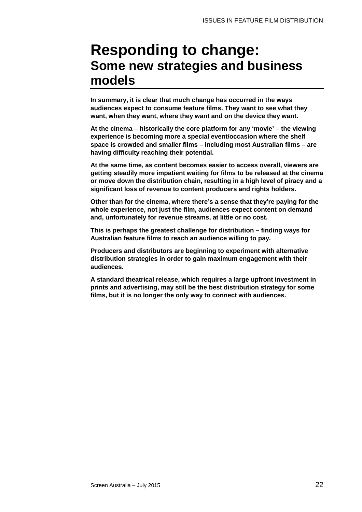### **Responding to change: Some new strategies and business models**

**In summary, it is clear that much change has occurred in the ways audiences expect to consume feature films. They want to see what they want, when they want, where they want and on the device they want.** 

**At the cinema – historically the core platform for any 'movie' – the viewing experience is becoming more a special event/occasion where the shelf space is crowded and smaller films – including most Australian films – are having difficulty reaching their potential.** 

**At the same time, as content becomes easier to access overall, viewers are getting steadily more impatient waiting for films to be released at the cinema or move down the distribution chain, resulting in a high level of piracy and a significant loss of revenue to content producers and rights holders.** 

**Other than for the cinema, where there's a sense that they're paying for the whole experience, not just the film, audiences expect content on demand and, unfortunately for revenue streams, at little or no cost.** 

**This is perhaps the greatest challenge for distribution – finding ways for Australian feature films to reach an audience willing to pay.** 

**Producers and distributors are beginning to experiment with alternative distribution strategies in order to gain maximum engagement with their audiences.** 

**A standard theatrical release, which requires a large upfront investment in prints and advertising, may still be the best distribution strategy for some films, but it is no longer the only way to connect with audiences.**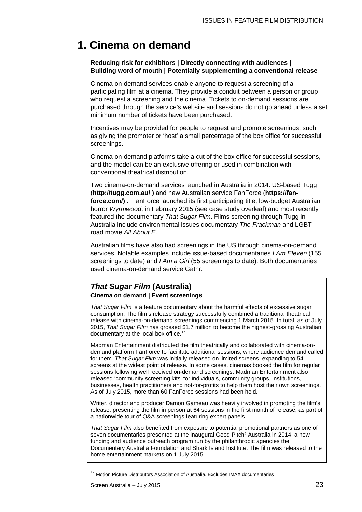### <span id="page-22-0"></span>**1. Cinema on demand**

### **Reducing risk for exhibitors | Directly connecting with audiences | Building word of mouth | Potentially supplementing a conventional release**

Cinema-on-demand services enable anyone to request a screening of a participating film at a cinema. They provide a conduit between a person or group who request a screening and the cinema. Tickets to on-demand sessions are purchased through the service's website and sessions do not go ahead unless a set minimum number of tickets have been purchased.

Incentives may be provided for people to request and promote screenings, such as giving the promoter or 'host' a small percentage of the box office for successful screenings.

Cinema-on-demand platforms take a cut of the box office for successful sessions, and the model can be an exclusive offering or used in combination with conventional theatrical distribution.

Two cinema-on-demand services launched in Australia in 2014: US-based Tugg (**http://tugg.com.au/ )** and new Australian service FanForce (**https://fanforce.com/)**. FanForce launched its first participating title, low-budget Australian horror *Wyrmwood*, in February 2015 (see case study overleaf) and most recently featured the documentary *That Sugar Film*. Films screening through Tugg in Australia include environmental issues documentary *The Frackman* and LGBT road movie *All About E*.

Australian films have also had screenings in the US through cinema-on-demand services. Notable examples include issue-based documentaries *I Am Eleven* (155 screenings to date) and *I Am a Girl* (55 screenings to date). Both documentaries used cinema-on-demand service Gathr.

### <span id="page-22-1"></span>*That Sugar Film* **(Australia) Cinema on demand | Event screenings**

*That Sugar Film* is a feature documentary about the harmful effects of excessive sugar consumption. The film's release strategy successfully combined a traditional theatrical release with cinema-on-demand screenings commencing 1 March 2015. In total, as of July 2015, *That Sugar Film* has grossed \$1.7 million to become the highest-grossing Australian documentary at the local box office.<sup>[17](#page-22-2)</sup>

Madman Entertainment distributed the film theatrically and collaborated with cinema-ondemand platform FanForce to facilitate additional sessions, where audience demand called for them. *That Sugar Film* was initially released on limited screens, expanding to 54 screens at the widest point of release. In some cases, cinemas booked the film for regular sessions following well received on-demand screenings. Madman Entertainment also released 'community screening kits' for individuals, community groups, institutions, businesses, health practitioners and not-for-profits to help them host their own screenings. As of July 2015, more than 60 FanForce sessions had been held.

Writer, director and producer Damon Gameau was heavily involved in promoting the film's release, presenting the film in person at 64 sessions in the first month of release, as part of a nationwide tour of Q&A screenings featuring expert panels.

*That Sugar Film* also benefited from exposure to potential promotional partners as one of seven documentaries presented at the inaugural Good Pitch<sup>2</sup> Australia in 2014, a new funding and audience outreach program run by the philanthropic agencies the Documentary Australia Foundation and Shark Island Institute. The film was released to the home entertainment markets on 1 July 2015.

 $\overline{\phantom{a}}$ 

<span id="page-22-2"></span><sup>&</sup>lt;sup>17</sup> Motion Picture Distributors Association of Australia. Excludes IMAX documentaries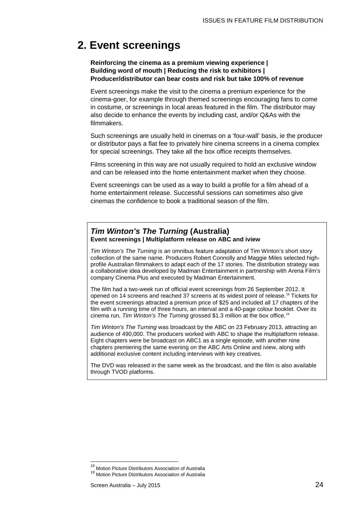### <span id="page-23-0"></span>**2. Event screenings**

### **Reinforcing the cinema as a premium viewing experience | Building word of mouth | Reducing the risk to exhibitors | Producer/distributor can bear costs and risk but take 100% of revenue**

Event screenings make the visit to the cinema a premium experience for the cinema-goer, for example through themed screenings encouraging fans to come in costume, or screenings in local areas featured in the film. The distributor may also decide to enhance the events by including cast, and/or Q&As with the filmmakers.

Such screenings are usually held in cinemas on a 'four-wall' basis, ie the producer or distributor pays a flat fee to privately hire cinema screens in a cinema complex for special screenings. They take all the box office receipts themselves.

Films screening in this way are not usually required to hold an exclusive window and can be released into the home entertainment market when they choose.

Event screenings can be used as a way to build a profile for a film ahead of a home entertainment release. Successful sessions can sometimes also give cinemas the confidence to book a traditional season of the film.

### *Tim Winton's The Turning* **(Australia) Event screenings | Multiplatform release on ABC and iview**

*Tim Winton's The Turning* is an omnibus feature adaptation of Tim Winton's short story collection of the same name. Producers Robert Connolly and Maggie Miles selected highprofile Australian filmmakers to adapt each of the 17 stories. The distribution strategy was a collaborative idea developed by Madman Entertainment in partnership with Arena Film's company Cinema Plus and executed by Madman Entertainment.

The film had a two-week run of official event screenings from 26 September 2012. It opened on 14 screens and reached 37 screens at its widest point of release.<sup>18</sup> Tickets for the event screenings attracted a premium price of \$25 and included all 17 chapters of the film with a running time of three hours, an interval and a 40-page colour booklet. Over its cinema run, *Tim Winton's The Turning* grossed \$1.3 million at the box office.[19](#page-23-2)

*Tim Winton's The Turning* was broadcast by the ABC on 23 February 2013, attracting an audience of 490,000. The producers worked with ABC to shape the multiplatform release. Eight chapters were be broadcast on ABC1 as a single episode, with another nine chapters premiering the same evening on the ABC Arts Online and iview, along with additional exclusive content including interviews with key creatives.

The DVD was released in the same week as the broadcast, and the film is also available through TVOD platforms.

<span id="page-23-1"></span><sup>&</sup>lt;sup>18</sup> Motion Picture Distributors Association of Australia

<span id="page-23-2"></span><sup>&</sup>lt;sup>19</sup> Motion Picture Distributors Association of Australia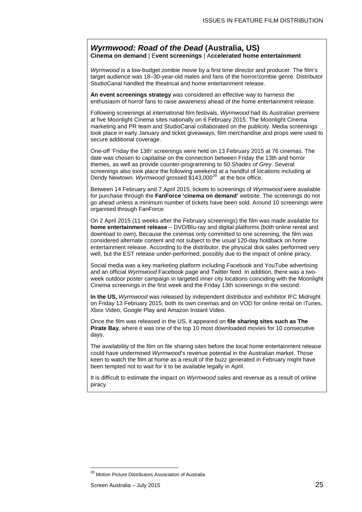### <span id="page-24-0"></span>*Wyrmwood: Road of the Dead* **(Australia, US) Cinema on demand** | E**vent screenings** | A**ccelerated home entertainment**

*Wyrmwood* is a low-budget zombie movie by a first time director and producer. The film's target audience was 18–30-year-old males and fans of the horror/zombie genre. Distributor StudioCanal handled the theatrical and home entertainment release.

**An event screenings strategy** was considered an effective way to harness the enthusiasm of horror fans to raise awareness ahead of the home entertainment release.

Following screenings at international film festivals, *Wyrmwood* had its Australian premiere at five Moonlight Cinema sites nationally on 6 February 2015. The Moonlight Cinema marketing and PR team and StudioCanal collaborated on the publicity. Media screenings took place in early January and ticket giveaways, film merchandise and props were used to secure additional coverage.

One-off 'Friday the 13th' screenings were held on 13 February 2015 at 76 cinemas. The date was chosen to capitalise on the connection between Friday the 13th and horror themes, as well as provide counter-programming to *50 Shades of Grey*. Several screenings also took place the following weekend at a handful of locations including at Dendy Newtown. *Wyrmwood* grossed \$143,000[20](#page-24-2) at the box office.

Between 14 February and 7 April 2015, tickets to screenings of *Wyrmwood* were available for purchase through the **FanForce 'cinema on demand'** website. The screenings do not go ahead unless a minimum number of tickets have been sold. Around 10 screenings were organised through FanForce.

On 2 April 2015 (11 weeks after the February screenings) the film was made available for **home entertainment release** – DVD/Blu-ray and digital platforms (both online rental and download to own)**.** Because the cinemas only committed to one screening, the film was considered alternate content and not subject to the usual 120-day holdback on home entertainment release. According to the distributor, the physical disk sales performed very well, but the EST release under-performed, possibly due to the impact of online piracy.

Social media was a key marketing platform including Facebook and YouTube advertising and an official *Wyrmwood* Facebook page and Twitter feed. In addition, there was a twoweek outdoor poster campaign in targeted inner city locations coinciding with the Moonlight Cinema screenings in the first week and the Friday 13th screenings in the second.

**In the US,** *Wyrmwood* was released by independent distributor and exhibitor IFC Midnight on Friday 13 February 2015, both its own cinemas and on VOD for online rental on iTunes, Xbox Video, Google Play and Amazon Instant Video.

Once the film was released in the US, it appeared on **file sharing sites such as The Pirate Bay**, where it was one of the top 10 most downloaded movies for 10 consecutive days.

The availability of the film on file sharing sites before the local home entertainment release could have undermined *Wyrmwood*'s revenue potential in the Australian market. Those keen to watch the film at home as a result of the buzz generated in February might have been tempted not to wait for it to be available legally in April.

<span id="page-24-1"></span>It is difficult to estimate the impact on *Wyrmwood* sales and revenue as a result of online piracy.

 $\overline{a}$ 

<span id="page-24-2"></span><sup>&</sup>lt;sup>20</sup> Motion Picture Distributors Association of Australia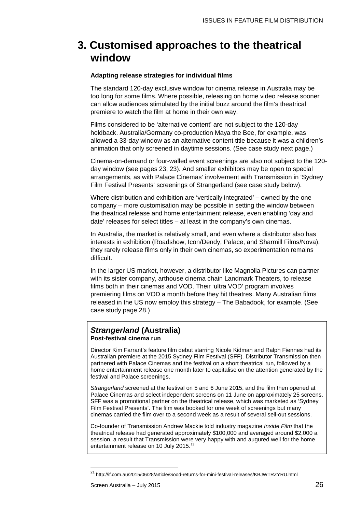### **3. Customised approaches to the theatrical window**

### **Adapting release strategies for individual films**

The standard 120-day exclusive window for cinema release in Australia may be too long for some films. Where possible, releasing on home video release sooner can allow audiences stimulated by the initial buzz around the film's theatrical premiere to watch the film at home in their own way.

Films considered to be 'alternative content' are not subject to the 120-day holdback. Australia/Germany co-production Maya the Bee, for example, was allowed a 33-day window as an alternative content title because it was a children's animation that only screened in daytime sessions. (See case study next page.)

Cinema-on-demand or four-walled event screenings are also not subject to the 120 day window (see pages [23,](#page-22-0) [23\)](#page-22-1). And smaller exhibitors may be open to special arrangements, as with Palace Cinemas' involvement with Transmission in 'Sydney Film Festival Presents' screenings of Strangerland (see case study below).

Where distribution and exhibition are 'vertically integrated' – owned by the one company – more customisation may be possible in setting the window between the theatrical release and home entertainment release, even enabling 'day and date' releases for select titles – at least in the company's own cinemas.

In Australia, the market is relatively small, and even where a distributor also has interests in exhibition (Roadshow, Icon/Dendy, Palace, and Sharmill Films/Nova), they rarely release films only in their own cinemas, so experimentation remains difficult.

In the larger US market, however, a distributor like Magnolia Pictures can partner with its sister company, arthouse cinema chain Landmark Theaters, to release films both in their cinemas and VOD. Their 'ultra VOD' program involves premiering films on VOD a month before they hit theatres. Many Australian films released in the US now employ this strategy – The Babadook, for example. (See case study page [28.](#page-27-0))

### *Strangerland* **(Australia) Post-festival cinema run**

Director Kim Farrant's feature film debut starring Nicole Kidman and Ralph Fiennes had its Australian premiere at the 2015 Sydney Film Festival (SFF). Distributor Transmission then partnered with Palace Cinemas and the festival on a short theatrical run, followed by a home entertainment release one month later to capitalise on the attention generated by the festival and Palace screenings.

*Strangerland* screened at the festival on 5 and 6 June 2015, and the film then opened at Palace Cinemas and select independent screens on 11 June on approximately 25 screens. SFF was a promotional partner on the theatrical release, which was marketed as 'Sydney Film Festival Presents'. The film was booked for one week of screenings but many cinemas carried the film over to a second week as a result of several sell-out sessions.

Co-founder of Transmission Andrew Mackie told industry magazine *Inside Film* that the theatrical release had generated approximately \$100,000 and averaged around \$2,000 a session, a result that Transmission were very happy with and augured well for the home entertainment release on 10 July 2015.<sup>[21](#page-25-0)</sup>

 $\overline{a}$ 

<span id="page-25-0"></span><sup>&</sup>lt;sup>21</sup> <http://if.com.au/2015/06/28/article/Good-returns-for-mini-festival-releases/KBJWTRZYRU.html>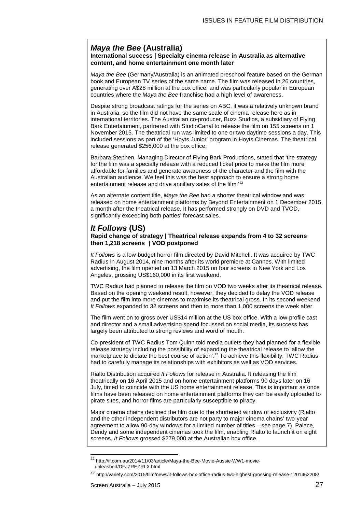### *Maya the Bee* **(Australia)**

#### **International success | Specialty cinema release in Australia as alternative content, and home entertainment one month later**

*Maya the Bee* (Germany/Australia) is an animated preschool feature based on the German book and European TV series of the same name. The film was released in 26 countries, generating over A\$28 million at the box office, and was particularly popular in European countries where the *Maya the Bee* franchise had a high level of awareness.

Despite strong broadcast ratings for the series on ABC, it was a relatively unknown brand in Australia, so the film did not have the same scale of cinema release here as in international territories. The Australian co-producer, Buzz Studios, a subsidiary of Flying Bark Entertainment, partnered with StudioCanal to release the film on 155 screens on 1 November 2015. The theatrical run was limited to one or two daytime sessions a day. This included sessions as part of the 'Hoyts Junior' program in Hoyts Cinemas. The theatrical release generated \$256,000 at the box office.

Barbara Stephen, Managing Director of Flying Bark Productions, stated that 'the strategy for the film was a specialty release with a reduced ticket price to make the film more affordable for families and generate awareness of the character and the film with the Australian audience. We feel this was the best approach to ensure a strong home entertainment release and drive ancillary sales of the film.' [22](#page-26-0)

As an alternate content title, *Maya the Bee* had a shorter theatrical window and was released on home entertainment platforms by Beyond Entertainment on 1 December 2015, a month after the theatrical release. It has performed strongly on DVD and TVOD, significantly exceeding both parties' forecast sales.

### *It Follows* **(US)**

#### **Rapid change of strategy | Theatrical release expands from 4 to 32 screens then 1,218 screens | VOD postponed**

*It Follows* is a low-budget horror film directed by David Mitchell. It was acquired by TWC Radius in August 2014, nine months after its world premiere at Cannes. With limited advertising, the film opened on 13 March 2015 on four screens in New York and Los Angeles, grossing US\$160,000 in its first weekend.

TWC Radius had planned to release the film on VOD two weeks after its theatrical release. Based on the opening weekend result, however, they decided to delay the VOD release and put the film into more cinemas to maximise its theatrical gross. In its second weekend *It Follows* expanded to 32 screens and then to more than 1,000 screens the week after.

The film went on to gross over US\$14 million at the US box office. With a low-profile cast and director and a small advertising spend focussed on social media, its success has largely been attributed to strong reviews and word of mouth.

Co-president of TWC Radius Tom Quinn told media outlets they had planned for a flexible release strategy including the possibility of expanding the theatrical release to 'allow the marketplace to dictate the best course of action'.<sup>[23](#page-26-1)</sup> To achieve this flexibility, TWC Radius had to carefully manage its relationships with exhibitors as well as VOD services.

Rialto Distribution acquired *It Follows* for release in Australia. It releasing the film theatrically on 16 April 2015 and on home entertainment platforms 90 days later on 16 July, timed to coincide with the US home entertainment release. This is important as once films have been released on home entertainment platforms they can be easily uploaded to pirate sites, and horror films are particularly susceptible to piracy.

Major cinema chains declined the film due to the shortened window of exclusivity (Rialto and the other independent distributors are not party to major cinema chains' two-year agreement to allow 90-day windows for a limited number of titles – see page [7\)](#page-6-3). Palace, Dendy and some independent cinemas took the film, enabling Rialto to launch it on eight screens. *It Follows* grossed \$279,000 at the Australian box office.

<span id="page-26-0"></span><sup>&</sup>lt;sup>22</sup> [http://if.com.au/2014/11/03/article/Maya-the-Bee-Movie-Aussie-WW1-movie](http://if.com.au/2014/11/03/article/Maya-the-Bee-Movie-Aussie-WW1-movie-unleashed/DFJZREZRLX.html)[unleashed/DFJZREZRLX.html](http://if.com.au/2014/11/03/article/Maya-the-Bee-Movie-Aussie-WW1-movie-unleashed/DFJZREZRLX.html)  $\overline{a}$ 

<span id="page-26-1"></span><sup>23</sup> <http://variety.com/2015/film/news/it-follows-box-office-radius-twc-highest-grossing-release-1201462208/>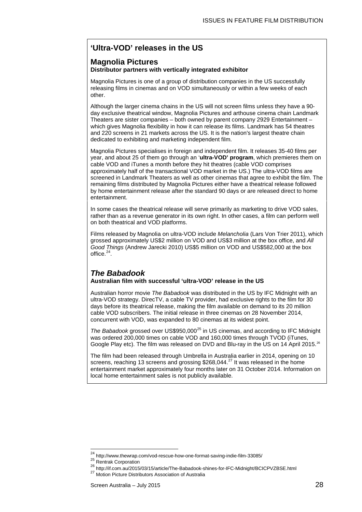### <span id="page-27-0"></span>**'Ultra-VOD' releases in the US**

### **Magnolia Pictures Distributor partners with vertically integrated exhibitor**

Magnolia Pictures is one of a group of distribution companies in the US successfully releasing films in cinemas and on VOD simultaneously or within a few weeks of each other.

Although the larger cinema chains in the US will not screen films unless they have a 90 day exclusive theatrical window, Magnolia Pictures and arthouse cinema chain Landmark Theaters are sister companies – both owned by parent company 2929 Entertainment – which gives Magnolia flexibility in how it can release its films. Landmark has 54 theatres and 220 screens in 21 markets across the US. It is the nation's largest theatre chain dedicated to exhibiting and marketing independent film.

Magnolia Pictures specialises in foreign and independent film. It releases 35-40 films per year, and about 25 of them go through an '**ultra-VOD' program**, which premieres them on cable VOD and iTunes a month before they hit theatres (cable VOD comprises approximately half of the transactional VOD market in the US.) The ultra-VOD films are screened in Landmark Theaters as well as other cinemas that agree to exhibit the film. The remaining films distributed by Magnolia Pictures either have a theatrical release followed by home entertainment release after the standard 90 days or are released direct to home entertainment.

In some cases the theatrical release will serve primarily as marketing to drive VOD sales, rather than as a revenue generator in its own right. In other cases, a film can perform well on both theatrical and VOD platforms.

Films released by Magnolia on ultra-VOD include *Melancholia* (Lars Von Trier 2011), which grossed approximately US\$2 million on VOD and US\$3 million at the box office, and *All Good Things* (Andrew Jarecki 2010) US\$5 million on VOD and US\$582,000 at the box office. $24$ .

### *The Babadook*

### **Australian film with successful 'ultra-VOD' release in the US**

Australian horror movie *The Babadook* was distributed in the US by IFC Midnight with an ultra-VOD strategy. DirecTV, a cable TV provider, had exclusive rights to the film for 30 days before its theatrical release, making the film available on demand to its 20 million cable VOD subscribers. The initial release in three cinemas on 28 November 2014, concurrent with VOD, was expanded to 80 cinemas at its widest point.

*The Babadook* grossed over US\$950,000<sup>[25](#page-27-2)</sup> in US cinemas, and according to IFC Midnight was ordered 200,000 times on cable VOD and 160,000 times through TVOD (iTunes, Google Play etc). The film was released on DVD and Blu-ray in the US on 14 April 2015.<sup>[26](#page-27-3)</sup>

The film had been released through Umbrella in Australia earlier in 2014, opening on 10 screens, reaching 13 screens and grossing \$268,044.<sup>[27](#page-27-4)</sup> It was released in the home entertainment market approximately four months later on 31 October 2014. Information on local home entertainment sales is not publicly available.

<sup>&</sup>lt;sup>24</sup> http://www.thewrap.com/vod-rescue-how-one-format-saving-indie-film-33085/

<span id="page-27-4"></span><span id="page-27-3"></span><span id="page-27-2"></span><span id="page-27-1"></span>

<sup>25</sup> Rentrak Corporation<br>
26 http://if.com.au/2015/03/15/article/The-Babadook-shines-for-IFC-Midnight/BCICPVZBSE.html<br>
27 Motion Picture Distributors Association of Australia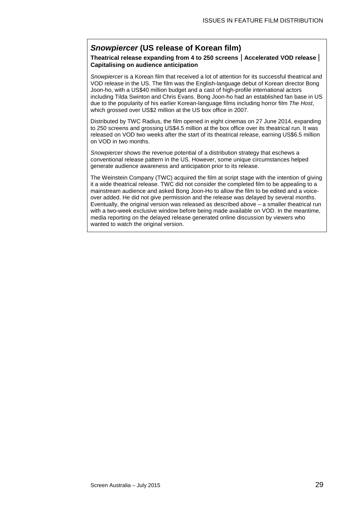### *Snowpiercer* **(US release of Korean film)**

### **Theatrical release expanding from 4 to 250 screens** | **Accelerated VOD release** | **Capitalising on audience anticipation**

*Snowpiercer* is a Korean film that received a lot of attention for its successful theatrical and VOD release in the US. The film was the English-language debut of Korean director Bong Joon-ho, with a US\$40 million budget and a cast of high-profile international actors including Tilda Swinton and Chris Evans. Bong Joon-ho had an established fan base in US due to the popularity of his earlier Korean-language films including horror film *The Host*, which grossed over US\$2 million at the US box office in 2007.

Distributed by TWC Radius, the film opened in eight cinemas on 27 June 2014, expanding to 250 screens and grossing US\$4.5 million at the box office over its theatrical run. It was released on VOD two weeks after the start of its theatrical release, earning US\$6.5 million on VOD in two months.

*Snowpiercer* shows the revenue potential of a distribution strategy that eschews a conventional release pattern in the US. However, some unique circumstances helped generate audience awareness and anticipation prior to its release.

The Weinstein Company (TWC) acquired the film at script stage with the intention of giving it a wide theatrical release. TWC did not consider the completed film to be appealing to a mainstream audience and asked Bong Joon-Ho to allow the film to be edited and a voiceover added. He did not give permission and the release was delayed by several months. Eventually, the original version was released as described above – a smaller theatrical run with a two-week exclusive window before being made available on VOD. In the meantime, media reporting on the delayed release generated online discussion by viewers who wanted to watch the original version.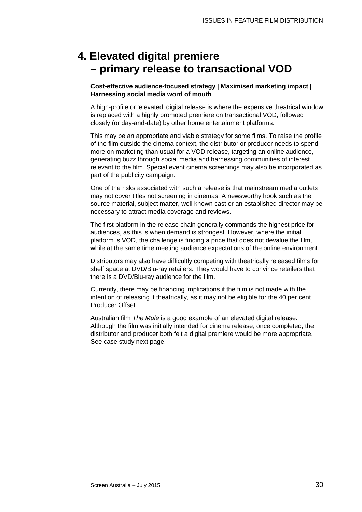### <span id="page-29-0"></span>**4. Elevated digital premiere – primary release to transactional VOD**

**Cost-effective audience-focused strategy | Maximised marketing impact | Harnessing social media word of mouth**

A high-profile or 'elevated' digital release is where the expensive theatrical window is replaced with a highly promoted premiere on transactional VOD, followed closely (or day-and-date) by other home entertainment platforms.

This may be an appropriate and viable strategy for some films. To raise the profile of the film outside the cinema context, the distributor or producer needs to spend more on marketing than usual for a VOD release, targeting an online audience, generating buzz through social media and harnessing communities of interest relevant to the film. Special event cinema screenings may also be incorporated as part of the publicity campaign.

One of the risks associated with such a release is that mainstream media outlets may not cover titles not screening in cinemas. A newsworthy hook such as the source material, subject matter, well known cast or an established director may be necessary to attract media coverage and reviews.

The first platform in the release chain generally commands the highest price for audiences, as this is when demand is strongest. However, where the initial platform is VOD, the challenge is finding a price that does not devalue the film, while at the same time meeting audience expectations of the online environment.

Distributors may also have difficultly competing with theatrically released films for shelf space at DVD/Blu-ray retailers. They would have to convince retailers that there is a DVD/Blu-ray audience for the film.

Currently, there may be financing implications if the film is not made with the intention of releasing it theatrically, as it may not be eligible for the 40 per cent Producer Offset.

Australian film *The Mule* is a good example of an elevated digital release. Although the film was initially intended for cinema release, once completed, the distributor and producer both felt a digital premiere would be more appropriate. See case study next page.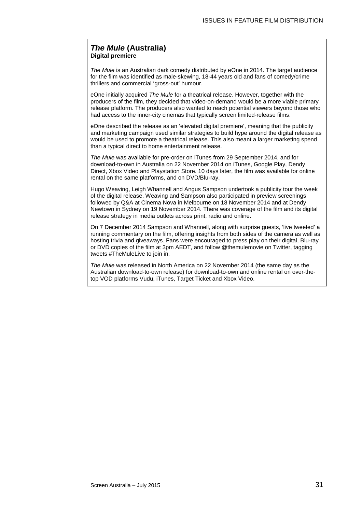### *The Mule* **(Australia) Digital premiere**

*The Mule* is an Australian dark comedy distributed by eOne in 2014. The target audience for the film was identified as male-skewing, 18-44 years old and fans of comedy/crime thrillers and commercial 'gross-out' humour.

eOne initially acquired *The Mule* for a theatrical release. However, together with the producers of the film, they decided that video-on-demand would be a more viable primary release platform. The producers also wanted to reach potential viewers beyond those who had access to the inner-city cinemas that typically screen limited-release films.

eOne described the release as an 'elevated digital premiere', meaning that the publicity and marketing campaign used similar strategies to build hype around the digital release as would be used to promote a theatrical release. This also meant a larger marketing spend than a typical direct to home entertainment release.

*The Mule* was available for pre-order on iTunes from 29 September 2014, and for download-to-own in Australia on 22 November 2014 on iTunes, Google Play, Dendy Direct, Xbox Video and Playstation Store. 10 days later, the film was available for online rental on the same platforms, and on DVD/Blu-ray.

Hugo Weaving, Leigh Whannell and Angus Sampson undertook a publicity tour the week of the digital release. Weaving and Sampson also participated in preview screenings followed by Q&A at Cinema Nova in Melbourne on 18 November 2014 and at Dendy Newtown in Sydney on 19 November 2014. There was coverage of the film and its digital release strategy in media outlets across print, radio and online.

On 7 December 2014 Sampson and Whannell, along with surprise guests, 'live tweeted' a running commentary on the film, offering insights from both sides of the camera as well as hosting trivia and giveaways. Fans were encouraged to press play on their digital, Blu-ray or DVD copies of the film at 3pm AEDT, and follow @themulemovie on Twitter, tagging tweets #TheMuleLive to join in.

*The Mule* was released in North America on 22 November 2014 (the same day as the Australian download-to-own release) for download-to-own and online rental on over-thetop VOD platforms Vudu, iTunes, Target Ticket and Xbox Video.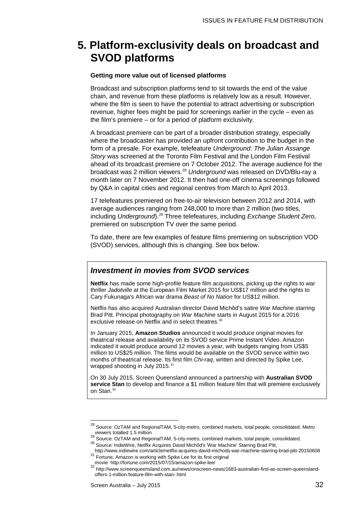### <span id="page-31-0"></span>**5. Platform-exclusivity deals on broadcast and SVOD platforms**

#### **Getting more value out of licensed platforms**

Broadcast and subscription platforms tend to sit towards the end of the value chain, and revenue from these platforms is relatively low as a result. However, where the film is seen to have the potential to attract advertising or subscription revenue, higher fees might be paid for screenings earlier in the cycle – even as the film's premiere – or for a period of platform exclusivity.

A broadcast premiere can be part of a broader distribution strategy, especially where the broadcaster has provided an upfront contribution to the budget in the form of a presale. For example, telefeature *Underground: The Julian Assange Story* was screened at the Toronto Film Festival and the London Film Festival ahead of its broadcast premiere on 7 October 2012. The average audience for the broadcast was 2 million viewers.[28](#page-31-1) *Underground* was released on DVD/Blu-ray a month later on 7 November 2012. It then had one-off cinema screenings followed by Q&A in capital cities and regional centres from March to April 2013.

17 telefeatures premiered on free-to-air television between 2012 and 2014, with average audiences ranging from 248,000 to more than 2 million (two titles, including *Underground*). [29](#page-31-2) Three telefeatures, including *Exchange Student Zero,* premiered on subscription TV over the same period.

To date, there are few examples of feature films premiering on subscription VOD (SVOD) services, although this is changing. See box below.

### *Investment in movies from SVOD services*

**Netflix** has made some high-profile feature film acquisitions, picking up the rights to war thriller *Jadotville* at the European Film Market 2015 for US\$17 million and the rights to Cary Fukunaga's African war drama *Beast of No Nation* for US\$12 million.

Netflix has also acquired Australian director David Michôd's satire *War Machine* starring Brad Pitt. Principal photography on *War Machine* starts in August 2015 for a 2016 exclusive release on Netflix and in select theatres.<sup>[30](#page-31-3)</sup>

In January 2015, **Amazon Studios** announced it would produce original movies for theatrical release and availability on its SVOD service Prime Instant Video. Amazon indicated it would produce around 12 movies a year, with budgets ranging from US\$5 million to US\$25 million. The films would be available on the SVOD service within two months of theatrical release. Its first film *Chi-raq*, written and directed by Spike Lee, wrapped shooting in July 2015.<sup>[31](#page-31-4)</sup>

On 30 July 2015, Screen Queensland announced a partnership with **Australian SVOD service Stan** to develop and finance a \$1 million feature film that will premiere exclusively on Stan.<sup>[32](#page-31-5)</sup>

 $\overline{a}$ 

<span id="page-31-2"></span><span id="page-31-1"></span> $^{28}$  Source: OzTAM and RegionalTAM, 5-city-metro, combined markets, total people, consolidated. Metro viewers totalled 1.5 million<br>
<sup>29</sup> Source: OzTAM and RegionalTAM, 5-city-metro, combined markets, total people, consolidated.<br>
<sup>30</sup> Source: IndieWire, Netflix Acquires David Michôd's 'War Machine' Starring Brad Pitt,<br>
http

<span id="page-31-3"></span>article//www.indictriclecom/article/network-starring-starring-starring-starring-starring-starring-pitch-201506<br>Fortune, Amazon is working with Spike Lee for its first original

<span id="page-31-5"></span><span id="page-31-4"></span>movie<http://fortune.com/2015/07/15/amazon-spike-lee/><br>
<sup>32</sup> http://fortune.com/2015/07/15/amazon-spike-lee/<br>
<sup>32</sup> http://www.screenqueensland.com.au/news/onscreen-news/1683-australian-first-as-screen-queenslandoffers-1-million-feature-film-with-stan-.html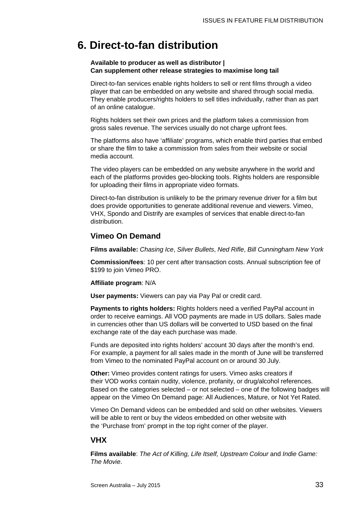### <span id="page-32-0"></span>**6. Direct-to-fan distribution**

### **Available to producer as well as distributor | Can supplement other release strategies to maximise long tail**

Direct-to-fan services enable rights holders to sell or rent films through a video player that can be embedded on any website and shared through social media. They enable producers/rights holders to sell titles individually, rather than as part of an online catalogue.

Rights holders set their own prices and the platform takes a commission from gross sales revenue. The services usually do not charge upfront fees.

The platforms also have 'affiliate' programs, which enable third parties that embed or share the film to take a commission from sales from their website or social media account.

The video players can be embedded on any website anywhere in the world and each of the platforms provides geo-blocking tools. Rights holders are responsible for uploading their films in appropriate video formats.

Direct-to-fan distribution is unlikely to be the primary revenue driver for a film but does provide opportunities to generate additional revenue and viewers. Vimeo, VHX, Spondo and Distrify are examples of services that enable direct-to-fan distribution.

### **Vimeo On Demand**

**Films available:** *Chasing Ice*, *Silver Bullets*, *Ned Rifle*, *Bill Cunningham New York*

**Commission/fees**: 10 per cent after transaction costs. Annual subscription fee of \$199 to join Vimeo PRO.

### **Affiliate program**: N/A

**User payments:** Viewers can pay via Pay Pal or credit card.

**Payments to rights holders:** Rights holders need a verified PayPal account in order to receive earnings. All VOD payments are made in US dollars. Sales made in currencies other than US dollars will be converted to USD based on the final exchange rate of the day each purchase was made.

Funds are deposited into rights holders' account 30 days after the month's end. For example, a payment for all sales made in the month of June will be transferred from Vimeo to the nominated PayPal account on or around 30 July.

**Other:** Vimeo provides content ratings for users. Vimeo asks creators if their VOD works contain nudity, violence, profanity, or drug/alcohol references. Based on the categories selected – or not selected – one of the following badges will appear on the Vimeo On Demand page: All Audiences, Mature, or Not Yet Rated.

Vimeo On Demand videos can be embedded and sold on other websites. Viewers will be able to rent or buy the videos embedded on other website with the 'Purchase from' prompt in the top right corner of the player.

### **VHX**

**Films available**: *The Act of Killing, Life Itself, Upstream Colour* and *Indie Game: The Movie*.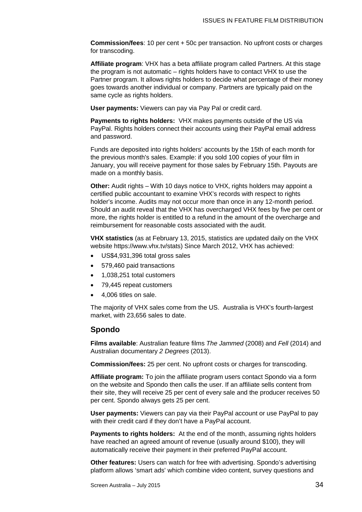**Commission/fees**: 10 per cent + 50c per transaction. No upfront costs or charges for transcoding.

**Affiliate program**: VHX has a beta affiliate program called Partners. At this stage the program is not automatic – rights holders have to contact VHX to use the Partner program. It allows rights holders to decide what percentage of their money goes towards another individual or company. Partners are typically paid on the same cycle as rights holders.

**User payments:** Viewers can pay via Pay Pal or credit card.

**Payments to rights holders:** VHX makes payments outside of the US via PayPal. Rights holders connect their accounts using their PayPal email address and password.

Funds are deposited into rights holders' accounts by the 15th of each month for the previous month's sales. Example: if you sold 100 copies of your film in January, you will receive payment for those sales by February 15th. Payouts are made on a monthly basis.

**Other:** Audit rights – With 10 days notice to VHX, rights holders may appoint a certified public accountant to examine VHX's records with respect to rights holder's income. Audits may not occur more than once in any 12-month period. Should an audit reveal that the VHX has overcharged VHX fees by five per cent or more, the rights holder is entitled to a refund in the amount of the overcharge and reimbursement for reasonable costs associated with the audit.

**VHX statistics** (as at February 13, 2015, statistics are updated daily on the VHX website [https://www.vhx.tv/stats\)](https://www.vhx.tv/stats) Since March 2012, VHX has achieved:

- US\$4,931,396 total gross sales
- 579,460 paid transactions
- 1,038,251 total customers
- 79,445 repeat customers
- 4,006 titles on sale.

The majority of VHX sales come from the US. Australia is VHX's fourth-largest market, with 23,656 sales to date.

### **Spondo**

**Films available**: Australian feature films *The Jammed* (2008) and *Fell* (2014) and Australian documentary *2 Degrees* (2013).

**Commission/fees:** 25 per cent. No upfront costs or charges for transcoding.

**Affiliate program:** To join the affiliate program users contact Spondo via a form on the website and Spondo then calls the user. If an affiliate sells content from their site, they will receive 25 per cent of every sale and the producer receives 50 per cent. Spondo always gets 25 per cent.

**User payments:** Viewers can pay via their PayPal account or use PayPal to pay with their credit card if they don't have a PayPal account.

**Payments to rights holders:** At the end of the month, assuming rights holders have reached an agreed amount of revenue (usually around \$100), they will automatically receive their payment in their preferred PayPal account.

**Other features:** Users can watch for free with advertising. Spondo's advertising platform allows 'smart ads' which combine video content, survey questions and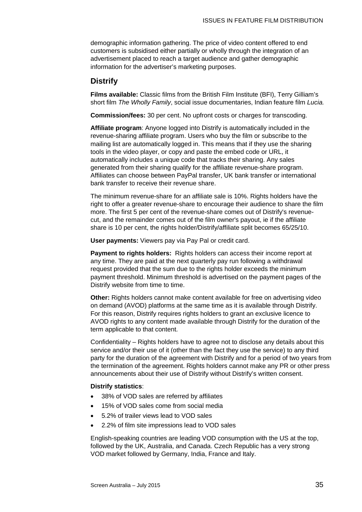demographic information gathering. The price of video content offered to end customers is subsidised either partially or wholly through the integration of an advertisement placed to reach a target audience and gather demographic information for the advertiser's marketing purposes.

### **Distrify**

**Films available:** Classic films from the British Film Institute (BFI), Terry Gilliam's short film *The Wholly Family*, social issue documentaries, Indian feature film *Lucia.*

**Commission/fees:** 30 per cent. No upfront costs or charges for transcoding.

**Affiliate program**: Anyone logged into Distrify is automatically included in the revenue-sharing affiliate program. Users who buy the film or subscribe to the mailing list are automatically logged in. This means that if they use the sharing tools in the video player, or copy and paste the embed code or URL, it automatically includes a unique code that tracks their sharing. Any sales generated from their sharing qualify for the affiliate revenue-share program. Affiliates can choose between PayPal transfer, UK bank transfer or international bank transfer to receive their revenue share.

The minimum revenue-share for an affiliate sale is 10%. Rights holders have the right to offer a greater revenue-share to encourage their audience to share the film more. The first 5 per cent of the revenue-share comes out of Distrify's revenuecut, and the remainder comes out of the film owner's payout, ie if the affiliate share is 10 per cent, the rights holder/Distrify/affiliate split becomes 65/25/10.

**User payments:** Viewers pay via Pay Pal or credit card.

**Payment to rights holders:** Rights holders can access their income report at any time. They are paid at the next quarterly pay run following a withdrawal request provided that the sum due to the rights holder exceeds the minimum payment threshold. Minimum threshold is advertised on the payment pages of the Distrify website from time to time.

**Other:** Rights holders cannot make content available for free on advertising video on demand (AVOD) platforms at the same time as it is available through Distrify. For this reason, Distrify requires rights holders to grant an exclusive licence to AVOD rights to any content made available through Distrify for the duration of the term applicable to that content.

Confidentiality – Rights holders have to agree not to disclose any details about this service and/or their use of it (other than the fact they use the service) to any third party for the duration of the agreement with Distrify and for a period of two years from the termination of the agreement. Rights holders cannot make any PR or other press announcements about their use of Distrify without Distrify's written consent.

### **Distrify statistics**:

- 38% of VOD sales are referred by affiliates
- 15% of VOD sales come from social media
- 5.2% of trailer views lead to VOD sales
- 2.2% of film site impressions lead to VOD sales

English-speaking countries are leading VOD consumption with the US at the top, followed by the UK, Australia, and Canada. Czech Republic has a very strong VOD market followed by Germany, India, France and Italy.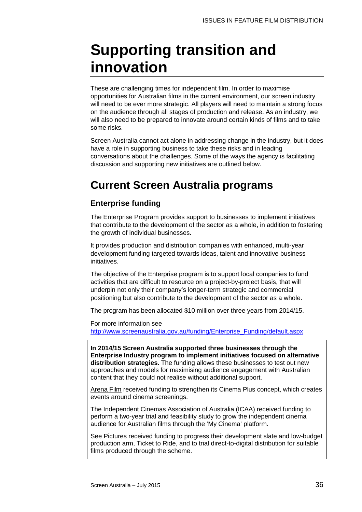## **Supporting transition and innovation**

These are challenging times for independent film. In order to maximise opportunities for Australian films in the current environment, our screen industry will need to be ever more strategic. All players will need to maintain a strong focus on the audience through all stages of production and release. As an industry, we will also need to be prepared to innovate around certain kinds of films and to take some risks.

Screen Australia cannot act alone in addressing change in the industry, but it does have a role in supporting business to take these risks and in leading conversations about the challenges. Some of the ways the agency is facilitating discussion and supporting new initiatives are outlined below.

### **Current Screen Australia programs**

### **Enterprise funding**

The Enterprise Program provides support to businesses to implement initiatives that contribute to the development of the sector as a whole, in addition to fostering the growth of individual businesses.

It provides production and distribution companies with enhanced, multi-year development funding targeted towards ideas, talent and innovative business initiatives.

The objective of the Enterprise program is to support local companies to fund activities that are difficult to resource on a project-by-project basis, that will underpin not only their company's longer-term strategic and commercial positioning but also contribute to the development of the sector as a whole.

The program has been allocated \$10 million over three years from 2014/15.

For more information see [http://www.screenaustralia.gov.au/funding/Enterprise\\_Funding/default.aspx](http://www.screenaustralia.gov.au/funding/Enterprise_Funding/default.aspx)

**In 2014/15 Screen Australia supported three businesses through the Enterprise Industry program to implement initiatives focused on alternative distribution strategies.** The funding allows these businesses to test out new approaches and models for maximising audience engagement with Australian content that they could not realise without additional support.

Arena Film received funding to strengthen its Cinema Plus concept, which creates events around cinema screenings.

The Independent Cinemas Association of Australia (ICAA) received funding to perform a two-year trial and feasibility study to grow the independent cinema audience for Australian films through the 'My Cinema' platform.

See Pictures received funding to progress their development slate and low-budget production arm, Ticket to Ride, and to trial direct-to-digital distribution for suitable films produced through the scheme.